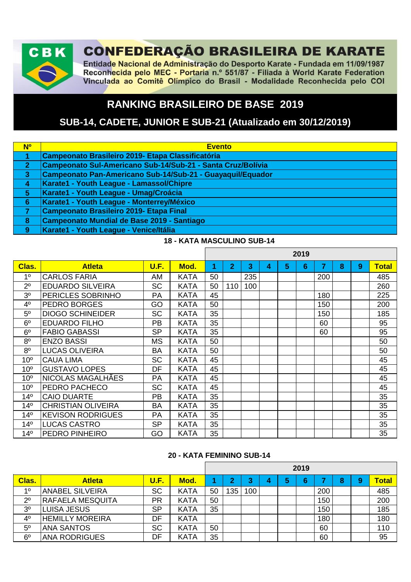

# **CONFEDERAÇÃO BRASILEIRA DE KARATE**

Entidade Nacional de Administração do Desporto Karate - Fundada em 11/09/1987 Reconhecida pelo MEC - Portaria n.º 551/87 - Filiada à World Karate Federation Vinculada ao Comitê Olímpico do Brasil - Modalidade Reconhecida pelo COI

# **RANKING BRASILEIRO DE BASE 2019**

# **SUB-14, CADETE, JUNIOR E SUB-21 (Atualizado em 30/12/2019)**

| <b>N<sup>o</sup></b> | <b>Evento</b>                                               |
|----------------------|-------------------------------------------------------------|
|                      | <b>Campeonato Brasileiro 2019- Etapa Classificatória</b>    |
| 2 <sup>1</sup>       | Campeonato Sul-Americano Sub-14/Sub-21 - Santa Cruz/Bolívia |
| $\overline{3}$       | Campeonato Pan-Americano Sub-14/Sub-21 - Guayaquil/Equador  |
| $\overline{4}$       | Karate1 - Youth League - Lamassol/Chipre                    |
| $\sqrt{5}$           | Karate1 - Youth League - Umag/Croácia                       |
| 6                    | Karate1 - Youth League - Monterrey/México                   |
|                      | <b>Campeonato Brasileiro 2019- Etapa Final</b>              |
| 8                    | Campeonato Mundial de Base 2019 - Santiago                  |
| 9                    | Karate1 - Youth League - Venice/Itália                      |

#### **18 - KATA MASCULINO SUB-14**

|                 |                           |           |             |    |              |     |   |   | 2019 |                |   |   |              |
|-----------------|---------------------------|-----------|-------------|----|--------------|-----|---|---|------|----------------|---|---|--------------|
| Clas.           | <b>Atleta</b>             | U.F.      | Mod.        | 1  | $\mathbf{2}$ | 3   | 4 | 5 | 6    | $\overline{7}$ | 8 | 9 | <b>Total</b> |
| 1 <sup>0</sup>  | <b>CARLOS FARIA</b>       | AM        | <b>KATA</b> | 50 |              | 235 |   |   |      | 200            |   |   | 485          |
| $2^{\circ}$     | <b>EDUARDO SILVEIRA</b>   | <b>SC</b> | <b>KATA</b> | 50 | 110          | 100 |   |   |      |                |   |   | 260          |
| 3 <sup>o</sup>  | PERICLES SOBRINHO         | PA        | <b>KATA</b> | 45 |              |     |   |   |      | 180            |   |   | 225          |
| 4 <sup>0</sup>  | <b>PEDRO BORGES</b>       | GO        | <b>KATA</b> | 50 |              |     |   |   |      | 150            |   |   | 200          |
| 5 <sup>0</sup>  | <b>DIOGO SCHINEIDER</b>   | <b>SC</b> | <b>KATA</b> | 35 |              |     |   |   |      | 150            |   |   | 185          |
| 6 <sup>o</sup>  | <b>EDUARDO FILHO</b>      | <b>PB</b> | <b>KATA</b> | 35 |              |     |   |   |      | 60             |   |   | 95           |
| 6 <sup>o</sup>  | <b>FABIO GABASSI</b>      | <b>SP</b> | <b>KATA</b> | 35 |              |     |   |   |      | 60             |   |   | 95           |
| 8 <sup>o</sup>  | <b>ENZO BASSI</b>         | MS        | <b>KATA</b> | 50 |              |     |   |   |      |                |   |   | 50           |
| 8 <sup>o</sup>  | <b>LUCAS OLIVEIRA</b>     | <b>BA</b> | <b>KATA</b> | 50 |              |     |   |   |      |                |   |   | 50           |
| 10 <sup>o</sup> | <b>CAUA LIMA</b>          | <b>SC</b> | <b>KATA</b> | 45 |              |     |   |   |      |                |   |   | 45           |
| 10 <sup>o</sup> | <b>GUSTAVO LOPES</b>      | DF        | <b>KATA</b> | 45 |              |     |   |   |      |                |   |   | 45           |
| 10 <sup>o</sup> | NICOLAS MAGALHÃES         | PA        | <b>KATA</b> | 45 |              |     |   |   |      |                |   |   | 45           |
| 10 <sup>o</sup> | PEDRO PACHECO             | <b>SC</b> | <b>KATA</b> | 45 |              |     |   |   |      |                |   |   | 45           |
| 14 <sup>°</sup> | <b>CAIO DUARTE</b>        | <b>PB</b> | <b>KATA</b> | 35 |              |     |   |   |      |                |   |   | 35           |
| 14 <sup>°</sup> | <b>CHRISTIAN OLIVEIRA</b> | <b>BA</b> | <b>KATA</b> | 35 |              |     |   |   |      |                |   |   | 35           |
| $14^{\circ}$    | <b>KEVISON RODRIGUES</b>  | <b>PA</b> | <b>KATA</b> | 35 |              |     |   |   |      |                |   |   | 35           |
| 14 <sup>°</sup> | <b>LUCAS CASTRO</b>       | <b>SP</b> | <b>KATA</b> | 35 |              |     |   |   |      |                |   |   | 35           |
| 14 <sup>°</sup> | <b>PEDRO PINHEIRO</b>     | GO        | <b>KATA</b> | 35 |              |     |   |   |      |                |   |   | 35           |

#### **20 - KATA FEMININO SUB-14**

|                |                         |           |             |    |     |     |   |   | 2019 |     |   |   |       |
|----------------|-------------------------|-----------|-------------|----|-----|-----|---|---|------|-----|---|---|-------|
| <b>Clas.</b>   | <b>Atleta</b>           | U.F.      | Mod.        |    | ∩   | ≏   | 4 | 5 | 6    |     | 8 | 9 | Total |
| 10             | <b>ANABEL SILVEIRA</b>  | <b>SC</b> | <b>KATA</b> | 50 | 135 | 100 |   |   |      | 200 |   |   | 485   |
| $2^{\circ}$    | <b>RAFAELA MESQUITA</b> | <b>PR</b> | <b>KATA</b> | 50 |     |     |   |   |      | 150 |   |   | 200   |
| 3 <sup>o</sup> | LUISA JESUS             | <b>SP</b> | <b>KATA</b> | 35 |     |     |   |   |      | 150 |   |   | 185   |
| 4 <sup>0</sup> | <b>HEMILLY MOREIRA</b>  | DF        | <b>KATA</b> |    |     |     |   |   |      | 180 |   |   | 180   |
| 5 <sup>0</sup> | <b>ANA SANTOS</b>       | <b>SC</b> | <b>KATA</b> | 50 |     |     |   |   |      | 60  |   |   | 110   |
| $6^{\circ}$    | <b>ANA RODRIGUES</b>    | DF        | <b>KATA</b> | 35 |     |     |   |   |      | 60  |   |   | 95    |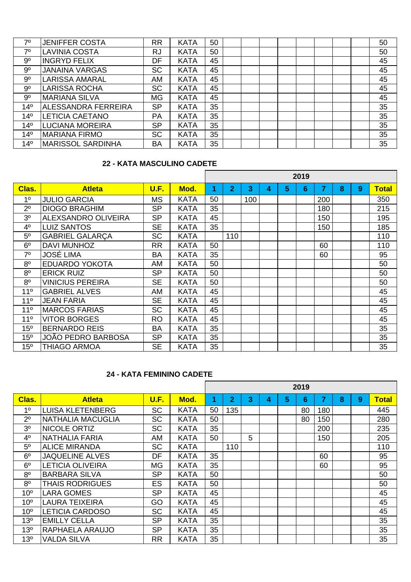| 70              | <b>JENIFFER COSTA</b>    | <b>RR</b> | <b>KATA</b> | 50 |  |  |  |  | 50 |
|-----------------|--------------------------|-----------|-------------|----|--|--|--|--|----|
| 70              | <b>LAVINIA COSTA</b>     | <b>RJ</b> | <b>KATA</b> | 50 |  |  |  |  | 50 |
| 9 <sup>o</sup>  | <b>INGRYD FELIX</b>      | DF        | <b>KATA</b> | 45 |  |  |  |  | 45 |
| 9 <sup>o</sup>  | <b>JANAINA VARGAS</b>    | <b>SC</b> | <b>KATA</b> | 45 |  |  |  |  | 45 |
| 9 <sup>o</sup>  | LARISSA AMARAL           | AM        | <b>KATA</b> | 45 |  |  |  |  | 45 |
| 9 <sup>o</sup>  | <b>LARISSA ROCHA</b>     | <b>SC</b> | <b>KATA</b> | 45 |  |  |  |  | 45 |
| 9 <sup>o</sup>  | <b>MARIANA SILVA</b>     | <b>MG</b> | <b>KATA</b> | 45 |  |  |  |  | 45 |
| 14 <sup>°</sup> | ALESSANDRA FERREIRA      | <b>SP</b> | <b>KATA</b> | 35 |  |  |  |  | 35 |
| 14 <sup>°</sup> | <b>LETICIA CAETANO</b>   | PA        | <b>KATA</b> | 35 |  |  |  |  | 35 |
| 14 <sup>°</sup> | <b>LUCIANA MOREIRA</b>   | <b>SP</b> | <b>KATA</b> | 35 |  |  |  |  | 35 |
| 14 <sup>°</sup> | <b>MARIANA FIRMO</b>     | <b>SC</b> | <b>KATA</b> | 35 |  |  |  |  | 35 |
| 14 <sup>°</sup> | <b>MARISSOL SARDINHA</b> | <b>BA</b> | <b>KATA</b> | 35 |  |  |  |  | 35 |

#### **22 - KATA MASCULINO CADETE**

|                 |                            |           |             |    |                |     |   |   | 2019 |     |   |   |       |
|-----------------|----------------------------|-----------|-------------|----|----------------|-----|---|---|------|-----|---|---|-------|
| Clas.           | <b>Atleta</b>              | U.F.      | Mod.        | 1  | $\overline{2}$ | 3   | 4 | 5 | 6    | 7   | 8 | 9 | Total |
| 1 <sup>0</sup>  | <b>JULIO GARCIA</b>        | <b>MS</b> | <b>KATA</b> | 50 |                | 100 |   |   |      | 200 |   |   | 350   |
| $2^{\circ}$     | <b>DIOGO BRAGHIM</b>       | <b>SP</b> | <b>KATA</b> | 35 |                |     |   |   |      | 180 |   |   | 215   |
| 3 <sup>o</sup>  | <b>ALEXSANDRO OLIVEIRA</b> | <b>SP</b> | <b>KATA</b> | 45 |                |     |   |   |      | 150 |   |   | 195   |
| 4 <sup>0</sup>  | <b>LUIZ SANTOS</b>         | <b>SE</b> | <b>KATA</b> | 35 |                |     |   |   |      | 150 |   |   | 185   |
| 5 <sup>o</sup>  | <b>GABRIEL GALARÇA</b>     | <b>SC</b> | <b>KATA</b> |    | 110            |     |   |   |      |     |   |   | 110   |
| 6 <sup>o</sup>  | <b>DAVI MUNHOZ</b>         | <b>RR</b> | <b>KATA</b> | 50 |                |     |   |   |      | 60  |   |   | 110   |
| $7^\circ$       | <b>JOSÉ LIMA</b>           | <b>BA</b> | <b>KATA</b> | 35 |                |     |   |   |      | 60  |   |   | 95    |
| 8 <sup>o</sup>  | <b>EDUARDO YOKOTA</b>      | AM        | <b>KATA</b> | 50 |                |     |   |   |      |     |   |   | 50    |
| 8 <sup>0</sup>  | <b>ERICK RUIZ</b>          | <b>SP</b> | <b>KATA</b> | 50 |                |     |   |   |      |     |   |   | 50    |
| 8 <sup>o</sup>  | <b>VINICIUS PEREIRA</b>    | <b>SE</b> | <b>KATA</b> | 50 |                |     |   |   |      |     |   |   | 50    |
| 11 <sup>°</sup> | <b>GABRIEL ALVES</b>       | AM        | <b>KATA</b> | 45 |                |     |   |   |      |     |   |   | 45    |
| 11 <sup>°</sup> | <b>JEAN FARIA</b>          | <b>SE</b> | <b>KATA</b> | 45 |                |     |   |   |      |     |   |   | 45    |
| 11 <sup>°</sup> | <b>MARCOS FARIAS</b>       | <b>SC</b> | <b>KATA</b> | 45 |                |     |   |   |      |     |   |   | 45    |
| 11 <sup>°</sup> | <b>VITOR BORGES</b>        | <b>RO</b> | <b>KATA</b> | 45 |                |     |   |   |      |     |   |   | 45    |
| 15 <sup>o</sup> | <b>BERNARDO REIS</b>       | <b>BA</b> | <b>KATA</b> | 35 |                |     |   |   |      |     |   |   | 35    |
| 15 <sup>o</sup> | JOÃO PEDRO BARBOSA         | <b>SP</b> | <b>KATA</b> | 35 |                |     |   |   |      |     |   |   | 35    |
| 15 <sup>o</sup> | <b>THIAGO ARMOA</b>        | <b>SE</b> | <b>KATA</b> | 35 |                |     |   |   |      |     |   |   | 35    |

#### **24 - KATA FEMININO CADETE**

|                 |                          |           |             |    |                |   |   |   | 2019 |     |   |   |              |
|-----------------|--------------------------|-----------|-------------|----|----------------|---|---|---|------|-----|---|---|--------------|
| Clas.           | <b>Atleta</b>            | U.F.      | Mod.        | 1  | $\overline{2}$ | 3 | 4 | 5 | 6    | 7   | 8 | 9 | <b>Total</b> |
| 1 <sup>0</sup>  | <b>LUISA KLETENBERG</b>  | <b>SC</b> | <b>KATA</b> | 50 | 135            |   |   |   | 80   | 180 |   |   | 445          |
| $2^{\circ}$     | <b>NATHALIA MACUGLIA</b> | <b>SC</b> | <b>KATA</b> | 50 |                |   |   |   | 80   | 150 |   |   | 280          |
| 3 <sup>o</sup>  | <b>NICOLE ORTIZ</b>      | <b>SC</b> | <b>KATA</b> | 35 |                |   |   |   |      | 200 |   |   | 235          |
| 4 <sup>0</sup>  | NATHALIA FARIA           | AM        | <b>KATA</b> | 50 |                | 5 |   |   |      | 150 |   |   | 205          |
| $5^{\circ}$     | <b>ALICE MIRANDA</b>     | <b>SC</b> | <b>KATA</b> |    | 110            |   |   |   |      |     |   |   | 110          |
| 6 <sup>o</sup>  | <b>JAQUELINE ALVES</b>   | DF        | <b>KATA</b> | 35 |                |   |   |   |      | 60  |   |   | 95           |
| 6 <sup>o</sup>  | <b>LETICIA OLIVEIRA</b>  | <b>MG</b> | <b>KATA</b> | 35 |                |   |   |   |      | 60  |   |   | 95           |
| 8 <sup>o</sup>  | <b>BARBARA SILVA</b>     | <b>SP</b> | <b>KATA</b> | 50 |                |   |   |   |      |     |   |   | 50           |
| 8 <sup>o</sup>  | <b>THAIS RODRIGUES</b>   | <b>ES</b> | <b>KATA</b> | 50 |                |   |   |   |      |     |   |   | 50           |
| 10 <sup>o</sup> | <b>LARA GOMES</b>        | <b>SP</b> | <b>KATA</b> | 45 |                |   |   |   |      |     |   |   | 45           |
| 10 <sup>o</sup> | <b>LAURA TEIXEIRA</b>    | GO        | <b>KATA</b> | 45 |                |   |   |   |      |     |   |   | 45           |
| 10 <sup>o</sup> | <b>LETICIA CARDOSO</b>   | <b>SC</b> | <b>KATA</b> | 45 |                |   |   |   |      |     |   |   | 45           |
| 13 <sup>o</sup> | <b>EMILLY CELLA</b>      | <b>SP</b> | <b>KATA</b> | 35 |                |   |   |   |      |     |   |   | 35           |
| 13 <sup>o</sup> | <b>RAPHAELA ARAUJO</b>   | <b>SP</b> | <b>KATA</b> | 35 |                |   |   |   |      |     |   |   | 35           |
| 13 <sup>o</sup> | <b>VALDA SILVA</b>       | <b>RR</b> | <b>KATA</b> | 35 |                |   |   |   |      |     |   |   | 35           |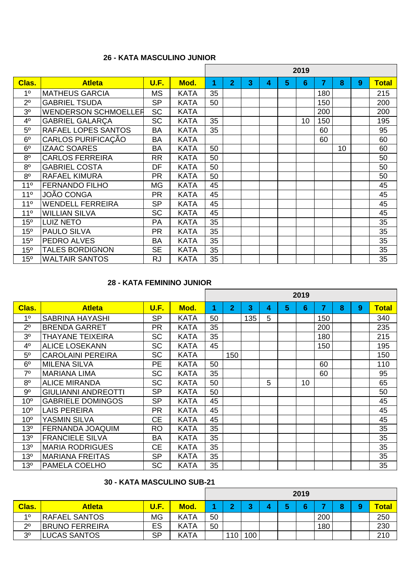# **26 - KATA MASCULINO JUNIOR**

|                 |                             |           |             |    |                |   |   |   | 2019 |     |    |   |              |
|-----------------|-----------------------------|-----------|-------------|----|----------------|---|---|---|------|-----|----|---|--------------|
| Clas.           | <b>Atleta</b>               | U.F.      | Mod.        | 1  | $\overline{2}$ | 3 | 4 | 5 | 6    | 7   | 8  | 9 | <b>Total</b> |
| 1 <sup>0</sup>  | <b>MATHEUS GARCIA</b>       | <b>MS</b> | <b>KATA</b> | 35 |                |   |   |   |      | 180 |    |   | 215          |
| 2 <sup>0</sup>  | <b>GABRIEL TSUDA</b>        | <b>SP</b> | <b>KATA</b> | 50 |                |   |   |   |      | 150 |    |   | 200          |
| 3 <sup>0</sup>  | <b>WENDERSON SCHMOELLER</b> | <b>SC</b> | <b>KATA</b> |    |                |   |   |   |      | 200 |    |   | 200          |
| 4 <sup>0</sup>  | <b>GABRIEL GALARÇA</b>      | <b>SC</b> | <b>KATA</b> | 35 |                |   |   |   | 10   | 150 |    |   | 195          |
| 5 <sup>o</sup>  | RAFAEL LOPES SANTOS         | <b>BA</b> | <b>KATA</b> | 35 |                |   |   |   |      | 60  |    |   | 95           |
| 6 <sup>o</sup>  | CARLOS PURIFICAÇÃO          | <b>BA</b> | <b>KATA</b> |    |                |   |   |   |      | 60  |    |   | 60           |
| 6 <sup>o</sup>  | <b>IZAAC SOARES</b>         | <b>BA</b> | <b>KATA</b> | 50 |                |   |   |   |      |     | 10 |   | 60           |
| 8 <sup>o</sup>  | <b>CARLOS FERREIRA</b>      | <b>RR</b> | <b>KATA</b> | 50 |                |   |   |   |      |     |    |   | 50           |
| 8 <sup>o</sup>  | <b>GABRIEL COSTA</b>        | DF        | <b>KATA</b> | 50 |                |   |   |   |      |     |    |   | 50           |
| 8 <sup>0</sup>  | <b>RAFAEL KIMURA</b>        | <b>PR</b> | <b>KATA</b> | 50 |                |   |   |   |      |     |    |   | 50           |
| 11 <sup>°</sup> | <b>FERNANDO FILHO</b>       | MG        | <b>KATA</b> | 45 |                |   |   |   |      |     |    |   | 45           |
| 11 <sup>°</sup> | JOÃO CONGA                  | <b>PR</b> | <b>KATA</b> | 45 |                |   |   |   |      |     |    |   | 45           |
| 11 <sup>°</sup> | <b>WENDELL FERREIRA</b>     | <b>SP</b> | <b>KATA</b> | 45 |                |   |   |   |      |     |    |   | 45           |
| 11 <sup>°</sup> | <b>WILLIAN SILVA</b>        | <b>SC</b> | <b>KATA</b> | 45 |                |   |   |   |      |     |    |   | 45           |
| 15 <sup>o</sup> | <b>LUIZ NETO</b>            | <b>PA</b> | <b>KATA</b> | 35 |                |   |   |   |      |     |    |   | 35           |
| 15 <sup>o</sup> | <b>PAULO SILVA</b>          | <b>PR</b> | KATA        | 35 |                |   |   |   |      |     |    |   | 35           |
| 15 <sup>o</sup> | <b>PEDRO ALVES</b>          | <b>BA</b> | KATA        | 35 |                |   |   |   |      |     |    |   | 35           |
| 15 <sup>o</sup> | <b>TALES BORDIGNON</b>      | <b>SE</b> | <b>KATA</b> | 35 |                |   |   |   |      |     |    |   | 35           |
| 15 <sup>o</sup> | <b>WALTAIR SANTOS</b>       | <b>RJ</b> | KATA        | 35 |                |   |   |   |      |     |    |   | 35           |

# **28 - KATA FEMININO JUNIOR**

|                 |                            |           |             |    |                |     |   |   | 2019            |     |   |   |              |
|-----------------|----------------------------|-----------|-------------|----|----------------|-----|---|---|-----------------|-----|---|---|--------------|
| Clas.           | <b>Atleta</b>              | U.F.      | Mod.        | 1  | $\overline{2}$ | 3   | 4 | 5 | 6               | 7   | 8 | 9 | <b>Total</b> |
| 1 <sup>0</sup>  | <b>SABRINA HAYASHI</b>     | <b>SP</b> | <b>KATA</b> | 50 |                | 135 | 5 |   |                 | 150 |   |   | 340          |
| 2 <sup>0</sup>  | <b>BRENDA GARRET</b>       | <b>PR</b> | <b>KATA</b> | 35 |                |     |   |   |                 | 200 |   |   | 235          |
| 3 <sup>o</sup>  | <b>THAYANE TEIXEIRA</b>    | <b>SC</b> | <b>KATA</b> | 35 |                |     |   |   |                 | 180 |   |   | 215          |
| 4 <sup>0</sup>  | <b>ALICE LOSEKANN</b>      | <b>SC</b> | <b>KATA</b> | 45 |                |     |   |   |                 | 150 |   |   | 195          |
| 5 <sup>o</sup>  | <b>CAROLAINI PEREIRA</b>   | SC        | <b>KATA</b> |    | 150            |     |   |   |                 |     |   |   | 150          |
| 6 <sup>o</sup>  | <b>MILENA SILVA</b>        | <b>PE</b> | <b>KATA</b> | 50 |                |     |   |   |                 | 60  |   |   | 110          |
| 7 <sup>0</sup>  | <b>MARIANA LIMA</b>        | SC        | <b>KATA</b> | 35 |                |     |   |   |                 | 60  |   |   | 95           |
| 8 <sup>0</sup>  | <b>ALICE MIRANDA</b>       | <b>SC</b> | <b>KATA</b> | 50 |                |     | 5 |   | 10 <sup>°</sup> |     |   |   | 65           |
| 9 <sup>o</sup>  | <b>GIULIANNI ANDREOTTI</b> | <b>SP</b> | <b>KATA</b> | 50 |                |     |   |   |                 |     |   |   | 50           |
| 10 <sup>o</sup> | <b>GABRIELE DOMINGOS</b>   | <b>SP</b> | <b>KATA</b> | 45 |                |     |   |   |                 |     |   |   | 45           |
| 10 <sup>o</sup> | <b>LAIS PEREIRA</b>        | <b>PR</b> | <b>KATA</b> | 45 |                |     |   |   |                 |     |   |   | 45           |
| 10 <sup>o</sup> | <b>YASMIN SILVA</b>        | <b>CE</b> | <b>KATA</b> | 45 |                |     |   |   |                 |     |   |   | 45           |
| 13 <sup>o</sup> | <b>FERNANDA JOAQUIM</b>    | <b>RO</b> | <b>KATA</b> | 35 |                |     |   |   |                 |     |   |   | 35           |
| 13 <sup>o</sup> | <b>FRANCIELE SILVA</b>     | <b>BA</b> | <b>KATA</b> | 35 |                |     |   |   |                 |     |   |   | 35           |
| 13 <sup>°</sup> | <b>MARIA RODRIGUES</b>     | <b>CE</b> | <b>KATA</b> | 35 |                |     |   |   |                 |     |   |   | 35           |
| 13 <sup>o</sup> | <b>MARIANA FREITAS</b>     | <b>SP</b> | <b>KATA</b> | 35 |                |     |   |   |                 |     |   |   | 35           |
| 13 <sup>°</sup> | PAMELA COELHO              | SC        | <b>KATA</b> | 35 |                |     |   |   |                 |     |   |   | 35           |

# **30 - KATA MASCULINO SUB-21**

|                |                       |             |             |    |     |        |  | 2019 |     |  |              |
|----------------|-----------------------|-------------|-------------|----|-----|--------|--|------|-----|--|--------------|
| <b>Clas.</b>   | <b>Atleta</b>         | <b>U.F.</b> | Mod.        |    |     | $\sim$ |  |      |     |  | <b>Total</b> |
| 10             | <b>RAFAEL SANTOS</b>  | <b>MG</b>   | <b>KATA</b> | 50 |     |        |  |      | 200 |  | 250          |
| 20<br>∠        | <b>BRUNO FERREIRA</b> | ES          | <b>KATA</b> | 50 |     |        |  |      | 180 |  | 230          |
| 3 <sup>o</sup> | <b>ILUCAS SANTOS</b>  | <b>SP</b>   | <b>KATA</b> |    | 110 | 100    |  |      |     |  | 210          |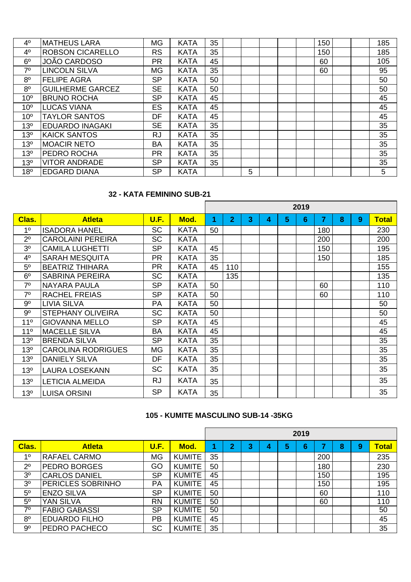| 4 <sup>0</sup>  | <b>IMATHEUS LARA</b>    | <b>MG</b> | <b>KATA</b> | 35 |   |  | 150 |  | 185 |
|-----------------|-------------------------|-----------|-------------|----|---|--|-----|--|-----|
| 4 <sup>0</sup>  | <b>ROBSON CICARELLO</b> | <b>RS</b> | <b>KATA</b> | 35 |   |  | 150 |  | 185 |
| 6 <sup>o</sup>  | <b>JOÃO CARDOSO</b>     | <b>PR</b> | <b>KATA</b> | 45 |   |  | 60  |  | 105 |
| 7 <sup>0</sup>  | <b>LINCOLN SILVA</b>    | <b>MG</b> | <b>KATA</b> | 35 |   |  | 60  |  | 95  |
| 8 <sup>o</sup>  | <b>FELIPE AGRA</b>      | <b>SP</b> | <b>KATA</b> | 50 |   |  |     |  | 50  |
| 8 <sup>o</sup>  | <b>GUILHERME GARCEZ</b> | <b>SE</b> | <b>KATA</b> | 50 |   |  |     |  | 50  |
| 10 <sup>o</sup> | <b>BRUNO ROCHA</b>      | <b>SP</b> | <b>KATA</b> | 45 |   |  |     |  | 45  |
| 10 <sup>o</sup> | <b>LUCAS VIANA</b>      | <b>ES</b> | <b>KATA</b> | 45 |   |  |     |  | 45  |
| 10 <sup>o</sup> | <b>TAYLOR SANTOS</b>    | DF        | <b>KATA</b> | 45 |   |  |     |  | 45  |
| 13 <sup>o</sup> | <b>EDUARDO INAGAKI</b>  | <b>SE</b> | <b>KATA</b> | 35 |   |  |     |  | 35  |
| 13 <sup>o</sup> | <b>KAICK SANTOS</b>     | <b>RJ</b> | <b>KATA</b> | 35 |   |  |     |  | 35  |
| 13 <sup>o</sup> | <b>MOACIR NETO</b>      | <b>BA</b> | <b>KATA</b> | 35 |   |  |     |  | 35  |
| 13 <sup>o</sup> | <b>PEDRO ROCHA</b>      | <b>PR</b> | <b>KATA</b> | 35 |   |  |     |  | 35  |
| 13 <sup>o</sup> | <b>VITOR ANDRADE</b>    | <b>SP</b> | <b>KATA</b> | 35 |   |  |     |  | 35  |
| 18 <sup>o</sup> | <b>EDGARD DIANA</b>     | <b>SP</b> | <b>KATA</b> |    | 5 |  |     |  | 5   |

#### **32 - KATA FEMININO SUB-21**

|                 |                           |           |             |    |                |   |   |   | 2019 |     |   |   |              |
|-----------------|---------------------------|-----------|-------------|----|----------------|---|---|---|------|-----|---|---|--------------|
| Clas.           | <b>Atleta</b>             | U.F.      | Mod.        | 1  | $\overline{2}$ | 3 | 4 | 5 | 6    | 7   | 8 | 9 | <b>Total</b> |
| 1 <sup>0</sup>  | <b>ISADORA HANEL</b>      | <b>SC</b> | <b>KATA</b> | 50 |                |   |   |   |      | 180 |   |   | 230          |
| $2^{\circ}$     | <b>CAROLAINI PEREIRA</b>  | <b>SC</b> | <b>KATA</b> |    |                |   |   |   |      | 200 |   |   | 200          |
| 3 <sup>0</sup>  | <b>CAMILA LUGHETTI</b>    | <b>SP</b> | <b>KATA</b> | 45 |                |   |   |   |      | 150 |   |   | 195          |
| 4 <sup>0</sup>  | <b>SARAH MESQUITA</b>     | <b>PR</b> | <b>KATA</b> | 35 |                |   |   |   |      | 150 |   |   | 185          |
| 5 <sup>o</sup>  | <b>BEATRIZ THIHARA</b>    | <b>PR</b> | <b>KATA</b> | 45 | 110            |   |   |   |      |     |   |   | 155          |
| 6 <sup>o</sup>  | <b>SABRINA PEREIRA</b>    | <b>SC</b> | <b>KATA</b> |    | 135            |   |   |   |      |     |   |   | 135          |
| $7^\circ$       | <b>NAYARA PAULA</b>       | <b>SP</b> | <b>KATA</b> | 50 |                |   |   |   |      | 60  |   |   | 110          |
| 7 <sup>0</sup>  | <b>RACHEL FREIAS</b>      | <b>SP</b> | <b>KATA</b> | 50 |                |   |   |   |      | 60  |   |   | 110          |
| $9^{\circ}$     | <b>LIVIA SILVA</b>        | PA        | <b>KATA</b> | 50 |                |   |   |   |      |     |   |   | 50           |
| $9^{\circ}$     | <b>STEPHANY OLIVEIRA</b>  | <b>SC</b> | <b>KATA</b> | 50 |                |   |   |   |      |     |   |   | 50           |
| 11 <sup>°</sup> | <b>GIOVANNA MELLO</b>     | <b>SP</b> | <b>KATA</b> | 45 |                |   |   |   |      |     |   |   | 45           |
| $11^{\circ}$    | <b>MACELLE SILVA</b>      | <b>BA</b> | <b>KATA</b> | 45 |                |   |   |   |      |     |   |   | 45           |
| 13 <sup>o</sup> | <b>BRENDA SILVA</b>       | <b>SP</b> | <b>KATA</b> | 35 |                |   |   |   |      |     |   |   | 35           |
| 13 <sup>o</sup> | <b>CAROLINA RODRIGUES</b> | <b>MG</b> | <b>KATA</b> | 35 |                |   |   |   |      |     |   |   | 35           |
| 13 <sup>o</sup> | <b>DANIELY SILVA</b>      | DF        | <b>KATA</b> | 35 |                |   |   |   |      |     |   |   | 35           |
| 13 <sup>o</sup> | <b>LAURA LOSEKANN</b>     | <b>SC</b> | <b>KATA</b> | 35 |                |   |   |   |      |     |   |   | 35           |
| 13 <sup>o</sup> | <b>LETICIA ALMEIDA</b>    | <b>RJ</b> | <b>KATA</b> | 35 |                |   |   |   |      |     |   |   | 35           |
| 13 <sup>o</sup> | <b>LUISA ORSINI</b>       | <b>SP</b> | <b>KATA</b> | 35 |                |   |   |   |      |     |   |   | 35           |

# **105 - KUMITE MASCULINO SUB-14 -35KG**

|                |                          |           |               |    |                |   |   |   | 2019 |                  |   |   |              |
|----------------|--------------------------|-----------|---------------|----|----------------|---|---|---|------|------------------|---|---|--------------|
| Clas.          | <b>Atleta</b>            | U.F.      | Mod.          |    | $\overline{2}$ | 3 | 4 | 5 | 6    |                  | 8 | 9 | <b>Total</b> |
| 10             | <b>RAFAEL CARMO</b>      | <b>MG</b> | <b>KUMITE</b> | 35 |                |   |   |   |      | 200              |   |   | 235          |
| 2 <sup>0</sup> | <b>PEDRO BORGES</b>      | GO        | <b>KUMITE</b> | 50 |                |   |   |   |      | 180              |   |   | 230          |
| 3 <sup>0</sup> | <b>CARLOS DANIEL</b>     | <b>SP</b> | <b>KUMITE</b> | 45 |                |   |   |   |      | 150              |   |   | 195          |
| 3 <sup>0</sup> | <b>PERICLES SOBRINHO</b> | PA        | <b>KUMITE</b> | 45 |                |   |   |   |      | 150 <sub>1</sub> |   |   | 195          |
| 5 <sup>0</sup> | <b>ENZO SILVA</b>        | <b>SP</b> | <b>KUMITE</b> | 50 |                |   |   |   |      | 60               |   |   | 110          |
| 5 <sup>0</sup> | YAN SILVA                | <b>RN</b> | <b>KUMITE</b> | 50 |                |   |   |   |      | 60               |   |   | 110          |
| 70             | <b>FABIO GABASSI</b>     | <b>SP</b> | <b>KUMITE</b> | 50 |                |   |   |   |      |                  |   |   | 50           |
| 8 <sup>o</sup> | <b>EDUARDO FILHO</b>     | <b>PB</b> | <b>KUMITE</b> | 45 |                |   |   |   |      |                  |   |   | 45           |
| $9^{\circ}$    | PEDRO PACHECO            | <b>SC</b> | <b>KUMITE</b> | 35 |                |   |   |   |      |                  |   |   | 35           |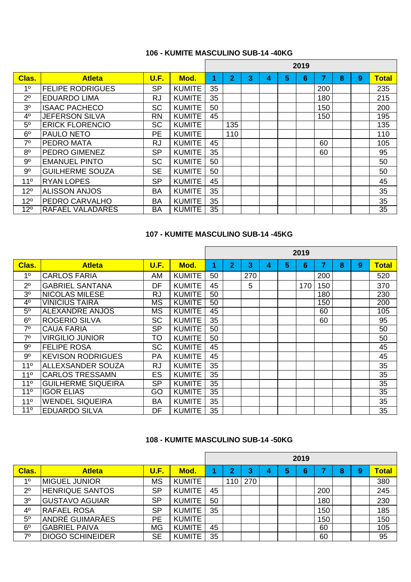# **106 - KUMITE MASCULINO SUB-14 -40KG**

|                |                         |           |               |    |                |   |   |   | 2019 |     |   |   |              |
|----------------|-------------------------|-----------|---------------|----|----------------|---|---|---|------|-----|---|---|--------------|
| Clas.          | <b>Atleta</b>           | U.F.      | Mod.          | 4  | $\overline{2}$ | 3 | 4 | 5 | 6    | 7   | 8 | 9 | <b>Total</b> |
| 1 <sup>0</sup> | <b>FELIPE RODRIGUES</b> | <b>SP</b> | <b>KUMITE</b> | 35 |                |   |   |   |      | 200 |   |   | 235          |
| 2 <sup>0</sup> | <b>EDUARDO LIMA</b>     | <b>RJ</b> | <b>KUMITE</b> | 35 |                |   |   |   |      | 180 |   |   | 215          |
| 3 <sup>o</sup> | <b>ISAAC PACHECO</b>    | <b>SC</b> | <b>KUMITE</b> | 50 |                |   |   |   |      | 150 |   |   | 200          |
| 4 <sup>0</sup> | <b>JEFERSON SILVA</b>   | <b>RN</b> | <b>KUMITE</b> | 45 |                |   |   |   |      | 150 |   |   | 195          |
| $5^{\circ}$    | <b>ERICK FLORENCIO</b>  | <b>SC</b> | <b>KUMITE</b> |    | 135            |   |   |   |      |     |   |   | 135          |
| 6 <sup>o</sup> | <b>PAULO NETO</b>       | <b>PE</b> | <b>KUMITE</b> |    | 110            |   |   |   |      |     |   |   | 110          |
| 7 <sup>0</sup> | <b>PEDRO MATA</b>       | <b>RJ</b> | <b>KUMITE</b> | 45 |                |   |   |   |      | 60  |   |   | 105          |
| 8 <sup>o</sup> | <b>PEDRO GIMENEZ</b>    | <b>SP</b> | <b>KUMITE</b> | 35 |                |   |   |   |      | 60  |   |   | 95           |
| 9 <sup>o</sup> | <b>EMANUEL PINTO</b>    | <b>SC</b> | <b>KUMITE</b> | 50 |                |   |   |   |      |     |   |   | 50           |
| $9^{\circ}$    | <b>GUILHERME SOUZA</b>  | <b>SE</b> | <b>KUMITE</b> | 50 |                |   |   |   |      |     |   |   | 50           |
| $11^{\circ}$   | <b>RYAN LOPES</b>       | <b>SP</b> | <b>KUMITE</b> | 45 |                |   |   |   |      |     |   |   | 45           |
| $12^{\circ}$   | <b>ALISSON ANJOS</b>    | <b>BA</b> | <b>KUMITE</b> | 35 |                |   |   |   |      |     |   |   | 35           |
| $12^{\circ}$   | PEDRO CARVALHO          | <b>BA</b> | <b>KUMITE</b> | 35 |                |   |   |   |      |     |   |   | 35           |
| $12^{\circ}$   | <b>RAFAEL VALADARES</b> | <b>BA</b> | <b>KUMITE</b> | 35 |                |   |   |   |      |     |   |   | 35           |

### **107 - KUMITE MASCULINO SUB-14 -45KG**

|                 |                           |           |               |    |                |     |   |   | 2019 |     |   |   |       |
|-----------------|---------------------------|-----------|---------------|----|----------------|-----|---|---|------|-----|---|---|-------|
| Clas.           | <b>Atleta</b>             | U.F.      | Mod.          | 1  | $\overline{2}$ | 3   | 4 | 5 | 6    | 7   | 8 | 9 | Total |
| 1 <sup>0</sup>  | <b>CARLOS FARIA</b>       | AM        | <b>KUMITE</b> | 50 |                | 270 |   |   |      | 200 |   |   | 520   |
| 2 <sup>0</sup>  | <b>GABRIEL SANTANA</b>    | DF        | <b>KUMITE</b> | 45 |                | 5   |   |   | 170  | 150 |   |   | 370   |
| 3 <sup>0</sup>  | <b>NICOLAS MILESE</b>     | <b>RJ</b> | <b>KUMITE</b> | 50 |                |     |   |   |      | 180 |   |   | 230   |
| 4 <sup>0</sup>  | <b>VINICIUS TAIRA</b>     | MS        | <b>KUMITE</b> | 50 |                |     |   |   |      | 150 |   |   | 200   |
| 5 <sup>0</sup>  | <b>ALEXANDRE ANJOS</b>    | MS        | <b>KUMITE</b> | 45 |                |     |   |   |      | 60  |   |   | 105   |
| 6 <sup>o</sup>  | <b>ROGERIO SILVA</b>      | <b>SC</b> | <b>KUMITE</b> | 35 |                |     |   |   |      | 60  |   |   | 95    |
| 7 <sup>0</sup>  | <b>CAUA FARIA</b>         | <b>SP</b> | <b>KUMITE</b> | 50 |                |     |   |   |      |     |   |   | 50    |
| 7 <sup>0</sup>  | <b>VIRGILIO JUNIOR</b>    | <b>TO</b> | <b>KUMITE</b> | 50 |                |     |   |   |      |     |   |   | 50    |
| 9 <sup>o</sup>  | <b>FELIPE ROSA</b>        | <b>SC</b> | <b>KUMITE</b> | 45 |                |     |   |   |      |     |   |   | 45    |
| $9^{\circ}$     | <b>KEVISON RODRIGUES</b>  | <b>PA</b> | <b>KUMITE</b> | 45 |                |     |   |   |      |     |   |   | 45    |
| $11^{\circ}$    | <b>ALLEXSANDER SOUZA</b>  | <b>RJ</b> | <b>KUMITE</b> | 35 |                |     |   |   |      |     |   |   | 35    |
| 11 <sup>°</sup> | <b>CARLOS TRESSAMN</b>    | <b>ES</b> | <b>KUMITE</b> | 35 |                |     |   |   |      |     |   |   | 35    |
| 11 <sup>°</sup> | <b>GUILHERME SIQUEIRA</b> | <b>SP</b> | <b>KUMITE</b> | 35 |                |     |   |   |      |     |   |   | 35    |
| $11^{\circ}$    | <b>IGOR ELIAS</b>         | GO        | <b>KUMITE</b> | 35 |                |     |   |   |      |     |   |   | 35    |
| 11 <sup>°</sup> | <b>WENDEL SIQUEIRA</b>    | <b>BA</b> | <b>KUMITE</b> | 35 |                |     |   |   |      |     |   |   | 35    |
| $11^{\circ}$    | <b>EDUARDO SILVA</b>      | DF        | <b>KUMITE</b> | 35 |                |     |   |   |      |     |   |   | 35    |

#### **108 - KUMITE MASCULINO SUB-14 -50KG**

|                |                         |           |               |    |                         |        |   |   | 2019 |                  |   |   |              |
|----------------|-------------------------|-----------|---------------|----|-------------------------|--------|---|---|------|------------------|---|---|--------------|
| Clas.          | <b>Atleta</b>           | U.F.      | Mod.          |    | $\overline{\mathbf{2}}$ | າ<br>J | 4 | 5 | 6    |                  | 8 | 9 | <b>Total</b> |
| 10             | <b>IMIGUEL JUNIOR</b>   | <b>MS</b> | <b>KUMITE</b> |    | 110                     | 270    |   |   |      |                  |   |   | 380          |
| 2 <sup>0</sup> | <b>HENRIQUE SANTOS</b>  | <b>SP</b> | <b>KUMITE</b> | 45 |                         |        |   |   |      | 200              |   |   | 245          |
| 3 <sup>0</sup> | <b>GUSTAVO AGUIAR</b>   | <b>SP</b> | <b>KUMITE</b> | 50 |                         |        |   |   |      | 180              |   |   | 230          |
| 4 <sup>0</sup> | <b>IRAFAEL ROSA</b>     | <b>SP</b> | <b>KUMITE</b> | 35 |                         |        |   |   |      | 150              |   |   | 185          |
| 5 <sup>0</sup> | ANDRÉ GUIMARÃES         | PE        | <b>KUMITE</b> |    |                         |        |   |   |      | 150 <sub>1</sub> |   |   | 150          |
| 6 <sup>o</sup> | <b>GABRIEL PAIVA</b>    | <b>MG</b> | <b>KUMITE</b> | 45 |                         |        |   |   |      | 60               |   |   | 105          |
| 70             | <b>DIOGO SCHINEIDER</b> | <b>SE</b> | <b>KUMITE</b> | 35 |                         |        |   |   |      | 60               |   |   | 95           |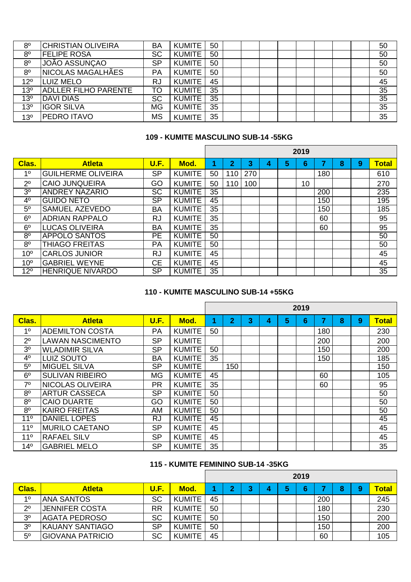| 8 <sup>o</sup>  | <b>CHRISTIAN OLIVEIRA</b>   | <b>BA</b> | <b>KUMITE</b> | 50 |  |  |  |  | 50 |
|-----------------|-----------------------------|-----------|---------------|----|--|--|--|--|----|
| 8 <sup>o</sup>  | <b>FELIPE ROSA</b>          | <b>SC</b> | <b>KUMITE</b> | 50 |  |  |  |  | 50 |
| 8 <sup>o</sup>  | JOÃO ASSUNÇAO               | <b>SP</b> | <b>KUMITE</b> | 50 |  |  |  |  | 50 |
| 8 <sup>o</sup>  | NICOLAS MAGALHÃES           | PA        | <b>KUMITE</b> | 50 |  |  |  |  | 50 |
| 12 <sup>o</sup> | <b>LUIZ MELO</b>            | <b>RJ</b> | <b>KUMITE</b> | 45 |  |  |  |  | 45 |
| 13 <sup>o</sup> | <b>ADLLER FILHO PARENTE</b> | TO        | <b>KUMITE</b> | 35 |  |  |  |  | 35 |
| 13 <sup>o</sup> | <b>DAVI DIAS</b>            | <b>SC</b> | <b>KUMITE</b> | 35 |  |  |  |  | 35 |
| 13 <sup>o</sup> | <b>IGOR SILVA</b>           | <b>MG</b> | <b>KUMITE</b> | 35 |  |  |  |  | 35 |
| 13 <sup>o</sup> | <b>PEDRO ITAVO</b>          | <b>MS</b> | <b>KUMITE</b> | 35 |  |  |  |  | 35 |

#### **109 - KUMITE MASCULINO SUB-14 -55KG**

|                 |                           |           |               |    |                         |     |   |   | 2019 |     |   |   |              |
|-----------------|---------------------------|-----------|---------------|----|-------------------------|-----|---|---|------|-----|---|---|--------------|
| Clas.           | <b>Atleta</b>             | U.F.      | Mod.          |    | $\overline{\mathbf{2}}$ | 3   | 4 | 5 | 6    |     | 8 | 9 | <b>Total</b> |
| 1 <sup>0</sup>  | <b>GUILHERME OLIVEIRA</b> | <b>SP</b> | <b>KUMITE</b> | 50 | 110                     | 270 |   |   |      | 180 |   |   | 610          |
| $2^{\circ}$     | <b>CAIO JUNQUEIRA</b>     | GO        | <b>KUMITE</b> | 50 | 110                     | 100 |   |   | 10   |     |   |   | 270          |
| 3 <sup>0</sup>  | <b>ANDREY NAZARIO</b>     | <b>SC</b> | <b>KUMITE</b> | 35 |                         |     |   |   |      | 200 |   |   | 235          |
| 4 <sup>0</sup>  | <b>GUIDO NETO</b>         | <b>SP</b> | <b>KUMITE</b> | 45 |                         |     |   |   |      | 150 |   |   | 195          |
| $5^{\circ}$     | <b>SAMUEL AZEVEDO</b>     | <b>BA</b> | <b>KUMITE</b> | 35 |                         |     |   |   |      | 150 |   |   | 185          |
| 6 <sup>o</sup>  | <b>ADRIAN RAPPALO</b>     | <b>RJ</b> | <b>KUMITE</b> | 35 |                         |     |   |   |      | 60  |   |   | 95           |
| 6 <sup>o</sup>  | LUCAS OLIVEIRA            | <b>BA</b> | <b>KUMITE</b> | 35 |                         |     |   |   |      | 60  |   |   | 95           |
| 8 <sup>o</sup>  | <b>APPOLO SANTOS</b>      | <b>PE</b> | <b>KUMITE</b> | 50 |                         |     |   |   |      |     |   |   | 50           |
| 8 <sup>o</sup>  | <b>THIAGO FREITAS</b>     | <b>PA</b> | <b>KUMITE</b> | 50 |                         |     |   |   |      |     |   |   | 50           |
| 10 <sup>o</sup> | <b>CARLOS JUNIOR</b>      | <b>RJ</b> | <b>KUMITE</b> | 45 |                         |     |   |   |      |     |   |   | 45           |
| 10 <sup>o</sup> | <b>GABRIEL WEYNE</b>      | <b>CE</b> | <b>KUMITE</b> | 45 |                         |     |   |   |      |     |   |   | 45           |
| $12^{o}$        | <b>HENRIQUE NIVARDO</b>   | <b>SP</b> | <b>KUMITE</b> | 35 |                         |     |   |   |      |     |   |   | 35           |

#### **110 - KUMITE MASCULINO SUB-14 +55KG**

|                 |                         |           |               |    |                |   |   |   | 2019 |     |   |   |              |
|-----------------|-------------------------|-----------|---------------|----|----------------|---|---|---|------|-----|---|---|--------------|
| Clas.           | <b>Atleta</b>           | U.F.      | Mod.          |    | $\overline{2}$ | 3 | 4 | 5 | 6    | 7   | 8 | 9 | <b>Total</b> |
| 1 <sup>0</sup>  | <b>ADEMILTON COSTA</b>  | <b>PA</b> | <b>KUMITE</b> | 50 |                |   |   |   |      | 180 |   |   | 230          |
| $2^{\circ}$     | <b>LAWAN NASCIMENTO</b> | <b>SP</b> | <b>KUMITE</b> |    |                |   |   |   |      | 200 |   |   | 200          |
| 3 <sup>o</sup>  | <b>WLADIMIR SILVA</b>   | <b>SP</b> | <b>KUMITE</b> | 50 |                |   |   |   |      | 150 |   |   | 200          |
| 4 <sup>0</sup>  | <b>LUIZ SOUTO</b>       | <b>BA</b> | <b>KUMITE</b> | 35 |                |   |   |   |      | 150 |   |   | 185          |
| 5 <sup>0</sup>  | <b>MIGUEL SILVA</b>     | <b>SP</b> | <b>KUMITE</b> |    | 150            |   |   |   |      |     |   |   | 150          |
| 6 <sup>o</sup>  | <b>SULIVAN RIBEIRO</b>  | <b>MG</b> | <b>KUMITE</b> | 45 |                |   |   |   |      | 60  |   |   | 105          |
| 7 <sup>0</sup>  | NICOLAS OLIVEIRA        | <b>PR</b> | <b>KUMITE</b> | 35 |                |   |   |   |      | 60  |   |   | 95           |
| 8 <sup>0</sup>  | <b>ARTUR CASSECA</b>    | <b>SP</b> | <b>KUMITE</b> | 50 |                |   |   |   |      |     |   |   | 50           |
| 8 <sup>0</sup>  | <b>CAIO DUARTE</b>      | GO        | <b>KUMITE</b> | 50 |                |   |   |   |      |     |   |   | 50           |
| 8 <sup>o</sup>  | <b>KAIRO FREITAS</b>    | AM        | <b>KUMITE</b> | 50 |                |   |   |   |      |     |   |   | 50           |
| 11 <sup>°</sup> | <b>DANIEL LOPES</b>     | <b>RJ</b> | <b>KUMITE</b> | 45 |                |   |   |   |      |     |   |   | 45           |
| 11 <sup>°</sup> | <b>MURILO CAETANO</b>   | <b>SP</b> | <b>KUMITE</b> | 45 |                |   |   |   |      |     |   |   | 45           |
| 11 <sup>°</sup> | <b>RAFAEL SILV</b>      | <b>SP</b> | <b>KUMITE</b> | 45 |                |   |   |   |      |     |   |   | 45           |
| $14^{\circ}$    | <b>GABRIEL MELO</b>     | <b>SP</b> | <b>KUMITE</b> | 35 |                |   |   |   |      |     |   |   | 35           |

#### **115 - KUMITE FEMININO SUB-14 -35KG**

|                |                         |             |               |    |   |   |   | 2019 |     |   |   |              |
|----------------|-------------------------|-------------|---------------|----|---|---|---|------|-----|---|---|--------------|
| Clas.          | <b>Atleta</b>           | <b>U.F.</b> | Mod.          |    | ∩ | 4 | 5 | 6    |     | 8 | 9 | <b>Total</b> |
| 10             | <b>ANA SANTOS</b>       | <b>SC</b>   | <b>KUMITE</b> | 45 |   |   |   |      | 200 |   |   | 245          |
| 2 <sup>0</sup> | <b>JENNIFER COSTA</b>   | RR          | <b>KUMITE</b> | 50 |   |   |   |      | 180 |   |   | 230          |
| 3 <sup>o</sup> | <b>AGATA PEDROSO</b>    | <b>SC</b>   | <b>KUMITE</b> | 50 |   |   |   |      | 150 |   |   | 200          |
| 3 <sup>o</sup> | <b>KAUANY SANTIAGO</b>  | <b>SP</b>   | <b>KUMITE</b> | 50 |   |   |   |      | 150 |   |   | 200          |
| 5 <sup>0</sup> | <b>GIOVANA PATRICIO</b> | <b>SC</b>   | <b>KUMITE</b> | 45 |   |   |   |      | 60  |   |   | 105          |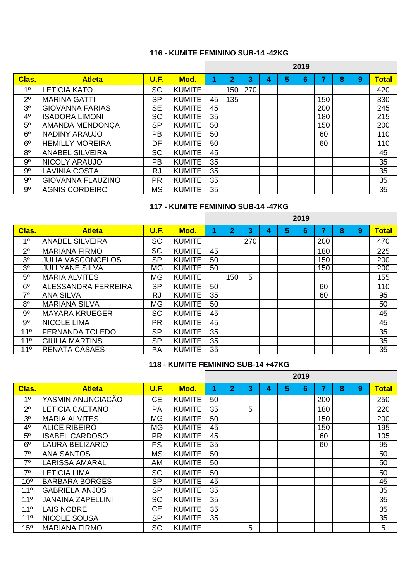# **116 - KUMITE FEMININO SUB-14 -42KG**

|                |                          |           |               |    |                |     |   |   | 2019 |     |   |   |              |
|----------------|--------------------------|-----------|---------------|----|----------------|-----|---|---|------|-----|---|---|--------------|
| Clas.          | <b>Atleta</b>            | U.F.      | Mod.          |    | $\overline{2}$ | 3   | 4 | 5 | 6    | 7   | 8 | 9 | <b>Total</b> |
| 1 <sup>0</sup> | <b>LETICIA KATO</b>      | <b>SC</b> | <b>KUMITE</b> |    | 150            | 270 |   |   |      |     |   |   | 420          |
| $2^{\circ}$    | <b>MARINA GATTI</b>      | <b>SP</b> | <b>KUMITE</b> | 45 | 135            |     |   |   |      | 150 |   |   | 330          |
| 3 <sup>o</sup> | <b>GIOVANNA FARIAS</b>   | <b>SE</b> | <b>KUMITE</b> | 45 |                |     |   |   |      | 200 |   |   | 245          |
| 4 <sup>0</sup> | <b>ISADORA LIMONI</b>    | <b>SC</b> | <b>KUMITE</b> | 35 |                |     |   |   |      | 180 |   |   | 215          |
| 5 <sup>0</sup> | <b>AMANDA MENDONCA</b>   | <b>SP</b> | <b>KUMITE</b> | 50 |                |     |   |   |      | 150 |   |   | 200          |
| 6 <sup>o</sup> | <b>NADINY ARAUJO</b>     | <b>PB</b> | <b>KUMITE</b> | 50 |                |     |   |   |      | 60  |   |   | 110          |
| 6 <sup>o</sup> | <b>HEMILLY MOREIRA</b>   | DF        | <b>KUMITE</b> | 50 |                |     |   |   |      | 60  |   |   | 110          |
| 8 <sup>0</sup> | <b>ANABEL SILVEIRA</b>   | <b>SC</b> | <b>KUMITE</b> | 45 |                |     |   |   |      |     |   |   | 45           |
| 9 <sup>o</sup> | <b>NICOLY ARAUJO</b>     | <b>PB</b> | <b>KUMITE</b> | 35 |                |     |   |   |      |     |   |   | 35           |
| $9^{\circ}$    | <b>LAVINIA COSTA</b>     | <b>RJ</b> | <b>KUMITE</b> | 35 |                |     |   |   |      |     |   |   | 35           |
| 9 <sup>o</sup> | <b>GIOVANNA FLAUZINO</b> | <b>PR</b> | <b>KUMITE</b> | 35 |                |     |   |   |      |     |   |   | 35           |
| $9^{\circ}$    | <b>AGNIS CORDEIRO</b>    | <b>MS</b> | <b>KUMITE</b> | 35 |                |     |   |   |      |     |   |   | 35           |

# **117 - KUMITE FEMININO SUB-14 -47KG**

|                 |                          |           |               |    |                |     |   |   | 2019 |     |   |   |              |
|-----------------|--------------------------|-----------|---------------|----|----------------|-----|---|---|------|-----|---|---|--------------|
| Clas.           | <b>Atleta</b>            | U.F.      | Mod.          |    | $\overline{2}$ | 3   | 4 | 5 | 6    | 7   | 8 | 9 | <b>Total</b> |
| 1 <sup>0</sup>  | <b>ANABEL SILVEIRA</b>   | <b>SC</b> | <b>KUMITE</b> |    |                | 270 |   |   |      | 200 |   |   | 470          |
| 2 <sup>0</sup>  | <b>MARIANA FIRMO</b>     | <b>SC</b> | <b>KUMITE</b> | 45 |                |     |   |   |      | 180 |   |   | 225          |
| 3 <sup>o</sup>  | <b>JULIA VASCONCELOS</b> | <b>SP</b> | <b>KUMITE</b> | 50 |                |     |   |   |      | 150 |   |   | 200          |
| 3 <sup>0</sup>  | <b>JULLYANE SILVA</b>    | <b>MG</b> | <b>KUMITE</b> | 50 |                |     |   |   |      | 150 |   |   | 200          |
| 5 <sup>o</sup>  | IMARIA ALVITES           | <b>MG</b> | <b>KUMITE</b> |    | 150            | 5   |   |   |      |     |   |   | 155          |
| 6 <sup>o</sup>  | ALESSANDRA FERREIRA      | <b>SP</b> | <b>KUMITE</b> | 50 |                |     |   |   |      | 60  |   |   | 110          |
| 7 <sup>0</sup>  | <b>ANA SILVA</b>         | <b>RJ</b> | <b>KUMITE</b> | 35 |                |     |   |   |      | 60  |   |   | 95           |
| 8 <sup>0</sup>  | <b>IMARIANA SILVA</b>    | <b>MG</b> | <b>KUMITE</b> | 50 |                |     |   |   |      |     |   |   | 50           |
| 9 <sup>o</sup>  | IMAYARA KRUEGER          | <b>SC</b> | <b>KUMITE</b> | 45 |                |     |   |   |      |     |   |   | 45           |
| 9 <sup>o</sup>  | <b>INICOLE LIMA</b>      | <b>PR</b> | <b>KUMITE</b> | 45 |                |     |   |   |      |     |   |   | 45           |
| 11 <sup>°</sup> | <b>FERNANDA TOLEDO</b>   | <b>SP</b> | <b>KUMITE</b> | 35 |                |     |   |   |      |     |   |   | 35           |
| 11 <sup>°</sup> | <b>GIULIA MARTINS</b>    | <b>SP</b> | <b>KUMITE</b> | 35 |                |     |   |   |      |     |   |   | 35           |
| 11 <sup>°</sup> | <b>RENATA CASAES</b>     | <b>BA</b> | <b>KUMITE</b> | 35 |                |     |   |   |      |     |   |   | 35           |

# **118 - KUMITE FEMININO SUB-14 +47KG**

|                 |                          |           |               |    |                |   |   |   | 2019 |     |   |   |              |
|-----------------|--------------------------|-----------|---------------|----|----------------|---|---|---|------|-----|---|---|--------------|
| Clas.           | <b>Atleta</b>            | U.F.      | Mod.          | 4  | $\overline{2}$ | 3 | 4 | 5 | 6    | 7   | 8 | 9 | <b>Total</b> |
| 1 <sup>0</sup>  | YASMIN ANUNCIACÃO        | <b>CE</b> | <b>KUMITE</b> | 50 |                |   |   |   |      | 200 |   |   | 250          |
| 2 <sup>0</sup>  | <b>LETICIA CAETANO</b>   | PA        | <b>KUMITE</b> | 35 |                | 5 |   |   |      | 180 |   |   | 220          |
| 3 <sup>0</sup>  | <b>MARIA ALVITES</b>     | <b>MG</b> | <b>KUMITE</b> | 50 |                |   |   |   |      | 150 |   |   | 200          |
| 4 <sup>0</sup>  | <b>ALICE RIBEIRO</b>     | <b>MG</b> | <b>KUMITE</b> | 45 |                |   |   |   |      | 150 |   |   | 195          |
| 5 <sup>0</sup>  | <b>ISABEL CARDOSO</b>    | <b>PR</b> | <b>KUMITE</b> | 45 |                |   |   |   |      | 60  |   |   | 105          |
| 6 <sup>o</sup>  | <b>LAURA BELIZARIO</b>   | <b>ES</b> | <b>KUMITE</b> | 35 |                |   |   |   |      | 60  |   |   | 95           |
| 7 <sup>0</sup>  | <b>ANA SANTOS</b>        | <b>MS</b> | <b>KUMITE</b> | 50 |                |   |   |   |      |     |   |   | 50           |
| 70              | <b>LARISSA AMARAL</b>    | AM        | <b>KUMITE</b> | 50 |                |   |   |   |      |     |   |   | 50           |
| 7 <sup>0</sup>  | <b>LETICIA LIMA</b>      | <b>SC</b> | <b>KUMITE</b> | 50 |                |   |   |   |      |     |   |   | 50           |
| 10 <sup>o</sup> | <b>BARBARA BORGES</b>    | <b>SP</b> | <b>KUMITE</b> | 45 |                |   |   |   |      |     |   |   | 45           |
| 11 <sup>°</sup> | <b>GABRIELA ANJOS</b>    | <b>SP</b> | <b>KUMITE</b> | 35 |                |   |   |   |      |     |   |   | 35           |
| 11 <sup>°</sup> | <b>JANAINA ZAPELLINI</b> | <b>SC</b> | <b>KUMITE</b> | 35 |                |   |   |   |      |     |   |   | 35           |
| 11 <sup>°</sup> | <b>LAIS NOBRE</b>        | <b>CE</b> | <b>KUMITE</b> | 35 |                |   |   |   |      |     |   |   | 35           |
| 11 <sup>°</sup> | <b>NICOLE SOUSA</b>      | <b>SP</b> | <b>KUMITE</b> | 35 |                |   |   |   |      |     |   |   | 35           |
| 15 <sup>o</sup> | <b>MARIANA FIRMO</b>     | <b>SC</b> | <b>KUMITE</b> |    |                | 5 |   |   |      |     |   |   | 5            |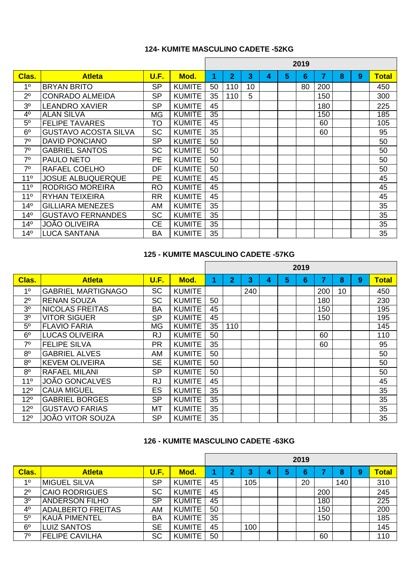### **124- KUMITE MASCULINO CADETE -52KG**

|                 |                             |           |               |    |                |    |   |   | 2019 |     |   |   |              |
|-----------------|-----------------------------|-----------|---------------|----|----------------|----|---|---|------|-----|---|---|--------------|
| Clas.           | <b>Atleta</b>               | U.F.      | Mod.          | 1  | $\overline{2}$ | 3  | 4 | 5 | 6    | 7   | 8 | 9 | <b>Total</b> |
| 1 <sup>0</sup>  | <b>BRYAN BRITO</b>          | <b>SP</b> | <b>KUMITE</b> | 50 | 110            | 10 |   |   | 80   | 200 |   |   | 450          |
| $2^{\circ}$     | <b>CONRADO ALMEIDA</b>      | <b>SP</b> | <b>KUMITE</b> | 35 | 110            | 5  |   |   |      | 150 |   |   | 300          |
| 3 <sup>0</sup>  | <b>LEANDRO XAVIER</b>       | <b>SP</b> | <b>KUMITE</b> | 45 |                |    |   |   |      | 180 |   |   | 225          |
| 4 <sup>0</sup>  | <b>ALAN SILVA</b>           | <b>MG</b> | <b>KUMITE</b> | 35 |                |    |   |   |      | 150 |   |   | 185          |
| 5 <sup>o</sup>  | <b>FELIPE TAVARES</b>       | TO        | <b>KUMITE</b> | 45 |                |    |   |   |      | 60  |   |   | 105          |
| 6 <sup>o</sup>  | <b>GUSTAVO ACOSTA SILVA</b> | <b>SC</b> | <b>KUMITE</b> | 35 |                |    |   |   |      | 60  |   |   | 95           |
| 7 <sup>0</sup>  | <b>DAVID PONCIANO</b>       | <b>SP</b> | <b>KUMITE</b> | 50 |                |    |   |   |      |     |   |   | 50           |
| 7 <sup>0</sup>  | <b>GABRIEL SANTOS</b>       | <b>SC</b> | <b>KUMITE</b> | 50 |                |    |   |   |      |     |   |   | 50           |
| 7 <sup>0</sup>  | <b>PAULO NETO</b>           | <b>PE</b> | <b>KUMITE</b> | 50 |                |    |   |   |      |     |   |   | 50           |
| 7 <sup>0</sup>  | RAFAEL COELHO               | DF        | <b>KUMITE</b> | 50 |                |    |   |   |      |     |   |   | 50           |
| 11 <sup>°</sup> | <b>JOSUE ALBUQUERQUE</b>    | <b>PE</b> | <b>KUMITE</b> | 45 |                |    |   |   |      |     |   |   | 45           |
| 11 <sup>°</sup> | <b>RODRIGO MOREIRA</b>      | <b>RO</b> | <b>KUMITE</b> | 45 |                |    |   |   |      |     |   |   | 45           |
| 11 <sup>°</sup> | <b>RYHAN TEIXEIRA</b>       | <b>RR</b> | <b>KUMITE</b> | 45 |                |    |   |   |      |     |   |   | 45           |
| 14 <sup>°</sup> | <b>GILLIARA MENEZES</b>     | AM        | <b>KUMITE</b> | 35 |                |    |   |   |      |     |   |   | 35           |
| 14 <sup>°</sup> | <b>GUSTAVO FERNANDES</b>    | <b>SC</b> | <b>KUMITE</b> | 35 |                |    |   |   |      |     |   |   | 35           |
| 14 <sup>°</sup> | JOÃO OLIVEIRA               | <b>CE</b> | <b>KUMITE</b> | 35 |                |    |   |   |      |     |   |   | 35           |
| 14 <sup>°</sup> | <b>LUCA SANTANA</b>         | <b>BA</b> | <b>KUMITE</b> | 35 |                |    |   |   |      |     |   |   | 35           |

# **125 - KUMITE MASCULINO CADETE -57KG**

|                 |                           |             |               |    |                         |     |   |   | 2019 |     |    |   |              |
|-----------------|---------------------------|-------------|---------------|----|-------------------------|-----|---|---|------|-----|----|---|--------------|
| Clas.           | <b>Atleta</b>             | <b>U.F.</b> | Mod.          |    | $\overline{\mathbf{2}}$ | 3   | 4 | 5 | 6    | 7   | 8  | 9 | <b>Total</b> |
| 1 <sup>0</sup>  | <b>GABRIEL MARTIGNAGO</b> | <b>SC</b>   | <b>KUMITE</b> |    |                         | 240 |   |   |      | 200 | 10 |   | 450          |
| $2^{\circ}$     | <b>RENAN SOUZA</b>        | <b>SC</b>   | <b>KUMITE</b> | 50 |                         |     |   |   |      | 180 |    |   | 230          |
| 3 <sup>0</sup>  | <b>INICOLAS FREITAS</b>   | <b>BA</b>   | <b>KUMITE</b> | 45 |                         |     |   |   |      | 150 |    |   | 195          |
| 3 <sup>o</sup>  | <b>VITOR SIGUER</b>       | <b>SP</b>   | <b>KUMITE</b> | 45 |                         |     |   |   |      | 150 |    |   | 195          |
| 5 <sup>0</sup>  | <b>FLAVIO FARIA</b>       | <b>MG</b>   | <b>KUMITE</b> | 35 | 110                     |     |   |   |      |     |    |   | 145          |
| 6 <sup>o</sup>  | <b>LUCAS OLIVEIRA</b>     | <b>RJ</b>   | <b>KUMITE</b> | 50 |                         |     |   |   |      | 60  |    |   | 110          |
| 7 <sup>0</sup>  | <b>FELIPE SILVA</b>       | <b>PR</b>   | <b>KUMITE</b> | 35 |                         |     |   |   |      | 60  |    |   | 95           |
| 8 <sup>0</sup>  | <b>GABRIEL ALVES</b>      | AM          | <b>KUMITE</b> | 50 |                         |     |   |   |      |     |    |   | 50           |
| 8 <sup>o</sup>  | IKEVEM OLIVEIRA           | <b>SE</b>   | <b>KUMITE</b> | 50 |                         |     |   |   |      |     |    |   | 50           |
| 8 <sup>o</sup>  | <b>RAFAEL MILANI</b>      | <b>SP</b>   | <b>KUMITE</b> | 50 |                         |     |   |   |      |     |    |   | 50           |
| $11^{\circ}$    | <b>JOÃO GONCALVES</b>     | <b>RJ</b>   | <b>KUMITE</b> | 45 |                         |     |   |   |      |     |    |   | 45           |
| 12 <sup>o</sup> | <b>CAUA MIGUEL</b>        | ES          | <b>KUMITE</b> | 35 |                         |     |   |   |      |     |    |   | 35           |
| 12 <sup>o</sup> | <b>GABRIEL BORGES</b>     | <b>SP</b>   | <b>KUMITE</b> | 35 |                         |     |   |   |      |     |    |   | 35           |
| $12^{\circ}$    | <b>GUSTAVO FARIAS</b>     | МT          | <b>KUMITE</b> | 35 |                         |     |   |   |      |     |    |   | 35           |
| 12 <sup>o</sup> | <b>JOÃO VITOR SOUZA</b>   | <b>SP</b>   | <b>KUMITE</b> | 35 |                         |     |   |   |      |     |    |   | 35           |

#### **126 - KUMITE MASCULINO CADETE -63KG**

|                |                          |           |               |    |                         |        |   |   | 2019 |     |     |   |              |
|----------------|--------------------------|-----------|---------------|----|-------------------------|--------|---|---|------|-----|-----|---|--------------|
| Clas.          | <b>Atleta</b>            | U.F.      | Mod.          |    | $\overline{\mathbf{2}}$ | າ<br>J | 4 | 5 | 6    |     | 8   | 9 | <b>Total</b> |
| 10             | <b>MIGUEL SILVA</b>      | <b>SP</b> | <b>KUMITE</b> | 45 |                         | 105    |   |   | 20   |     | 140 |   | 310          |
| 2 <sup>0</sup> | <b>CAIO RODRIGUES</b>    | <b>SC</b> | <b>KUMITE</b> | 45 |                         |        |   |   |      | 200 |     |   | 245          |
| 3 <sup>0</sup> | <b>ANDERSON FILHO</b>    | <b>SP</b> | <b>KUMITE</b> | 45 |                         |        |   |   |      | 180 |     |   | 225          |
| 4 <sup>0</sup> | <b>ADALBERTO FREITAS</b> | AM        | <b>KUMITE</b> | 50 |                         |        |   |   |      | 150 |     |   | 200          |
| 5 <sup>o</sup> | IKAUA PIMENTEL           | <b>BA</b> | <b>KUMITE</b> | 35 |                         |        |   |   |      | 150 |     |   | 185          |
| 6 <sup>o</sup> | <b>LUIZ SANTOS</b>       | <b>SE</b> | <b>KUMITE</b> | 45 |                         | 100    |   |   |      |     |     |   | 145          |
| 70             | <b>FELIPE CAVILHA</b>    | <b>SC</b> | <b>KUMITE</b> | 50 |                         |        |   |   |      | 60  |     |   | 110          |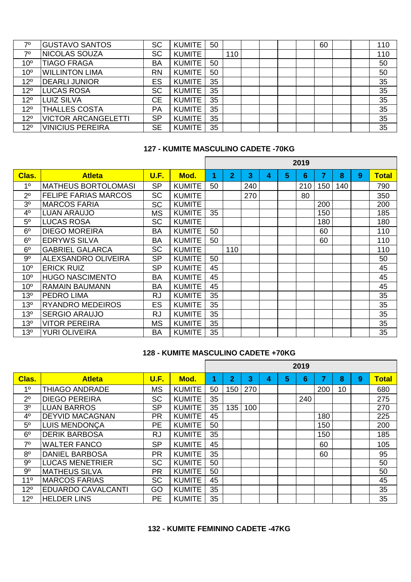| 70              | <b>GUSTAVO SANTOS</b>      | <b>SC</b> | <b>KUMITE</b> | 50 |     |  |  | 60 |  | 110 |
|-----------------|----------------------------|-----------|---------------|----|-----|--|--|----|--|-----|
| 70              | <b>NICOLAS SOUZA</b>       | <b>SC</b> | <b>KUMITE</b> |    | 110 |  |  |    |  | 110 |
| 10 <sup>o</sup> | <b>TIAGO FRAGA</b>         | <b>BA</b> | <b>KUMITE</b> | 50 |     |  |  |    |  | 50  |
| 10 <sup>o</sup> | <b>WILLINTON LIMA</b>      | <b>RN</b> | <b>KUMITE</b> | 50 |     |  |  |    |  | 50  |
| 12 <sup>o</sup> | <b>DEARLI JUNIOR</b>       | ES        | <b>KUMITE</b> | 35 |     |  |  |    |  | 35  |
| 12 <sup>o</sup> | <b>LUCAS ROSA</b>          | <b>SC</b> | <b>KUMITE</b> | 35 |     |  |  |    |  | 35  |
| $12^{\circ}$    | <b>LUIZ SILVA</b>          | <b>CE</b> | <b>KUMITE</b> | 35 |     |  |  |    |  | 35  |
| 12 <sup>o</sup> | <b>THALLES COSTA</b>       | PA        | <b>KUMITE</b> | 35 |     |  |  |    |  | 35  |
| $12^{\circ}$    | <b>VICTOR ARCANGELETTI</b> | <b>SP</b> | <b>KUMITE</b> | 35 |     |  |  |    |  | 35  |
| $12^{\circ}$    | <b>VINICIUS PEREIRA</b>    | <b>SE</b> | <b>KUMITE</b> | 35 |     |  |  |    |  | 35  |

#### **127 - KUMITE MASCULINO CADETE -70KG**

|                 |                             |           |               |    |     |     |   |   | 2019 |                |     |   |              |
|-----------------|-----------------------------|-----------|---------------|----|-----|-----|---|---|------|----------------|-----|---|--------------|
| Clas.           | <b>Atleta</b>               | U.F.      | Mod.          | 1  | 2   | 3   | 4 | 5 | 6    | $\overline{7}$ | 8   | 9 | <b>Total</b> |
| 1 <sup>0</sup>  | <b>MATHEUS BORTOLOMASI</b>  | <b>SP</b> | <b>KUMITE</b> | 50 |     | 240 |   |   | 210  | 150            | 140 |   | 790          |
| 2 <sup>0</sup>  | <b>FELIPE FARIAS MARCOS</b> | <b>SC</b> | <b>KUMITE</b> |    |     | 270 |   |   | 80   |                |     |   | 350          |
| 3 <sup>0</sup>  | <b>MARCOS FARIA</b>         | <b>SC</b> | <b>KUMITE</b> |    |     |     |   |   |      | 200            |     |   | 200          |
| 4 <sup>0</sup>  | <b>LUAN ARAUJO</b>          | <b>MS</b> | <b>KUMITE</b> | 35 |     |     |   |   |      | 150            |     |   | 185          |
| 5 <sup>o</sup>  | <b>LUCAS ROSA</b>           | <b>SC</b> | <b>KUMITE</b> |    |     |     |   |   |      | 180            |     |   | 180          |
| 6 <sup>o</sup>  | <b>DIEGO MOREIRA</b>        | <b>BA</b> | <b>KUMITE</b> | 50 |     |     |   |   |      | 60             |     |   | 110          |
| 6 <sup>o</sup>  | <b>EDRYWS SILVA</b>         | <b>BA</b> | <b>KUMITE</b> | 50 |     |     |   |   |      | 60             |     |   | 110          |
| 6 <sup>o</sup>  | <b>GABRIEL GALARCA</b>      | <b>SC</b> | <b>KUMITE</b> |    | 110 |     |   |   |      |                |     |   | 110          |
| 9 <sup>o</sup>  | <b>ALEXSANDRO OLIVEIRA</b>  | <b>SP</b> | <b>KUMITE</b> | 50 |     |     |   |   |      |                |     |   | 50           |
| 10 <sup>o</sup> | <b>ERICK RUIZ</b>           | <b>SP</b> | <b>KUMITE</b> | 45 |     |     |   |   |      |                |     |   | 45           |
| 10 <sup>o</sup> | <b>HUGO NASCIMENTO</b>      | <b>BA</b> | <b>KUMITE</b> | 45 |     |     |   |   |      |                |     |   | 45           |
| 10 <sup>o</sup> | <b>RAMAIN BAUMANN</b>       | <b>BA</b> | <b>KUMITE</b> | 45 |     |     |   |   |      |                |     |   | 45           |
| 13 <sup>o</sup> | <b>PEDRO LIMA</b>           | <b>RJ</b> | <b>KUMITE</b> | 35 |     |     |   |   |      |                |     |   | 35           |
| 13 <sup>°</sup> | <b>RYANDRO MEDEIROS</b>     | <b>ES</b> | <b>KUMITE</b> | 35 |     |     |   |   |      |                |     |   | 35           |
| 13 <sup>°</sup> | <b>SERGIO ARAUJO</b>        | <b>RJ</b> | <b>KUMITE</b> | 35 |     |     |   |   |      |                |     |   | 35           |
| 13 <sup>o</sup> | <b>VITOR PEREIRA</b>        | <b>MS</b> | <b>KUMITE</b> | 35 |     |     |   |   |      |                |     |   | 35           |
| 13 <sup>o</sup> | <b>YURI OLIVEIRA</b>        | <b>BA</b> | <b>KUMITE</b> | 35 |     |     |   |   |      |                |     |   | 35           |

## **128 - KUMITE MASCULINO CADETE +70KG**

|                |                           |             |               |    |                |     |   |   | 2019 |     |    |   |              |
|----------------|---------------------------|-------------|---------------|----|----------------|-----|---|---|------|-----|----|---|--------------|
| Clas.          | <b>Atleta</b>             | <b>U.F.</b> | Mod.          |    | $\overline{2}$ | 3   | 4 | 5 | 6    | 7   | 8  | 9 | <b>Total</b> |
| 1 <sup>0</sup> | <b>THIAGO ANDRADE</b>     | <b>MS</b>   | <b>KUMITE</b> | 50 | 150            | 270 |   |   |      | 200 | 10 |   | 680          |
| 2 <sup>0</sup> | <b>DIEGO PEREIRA</b>      | <b>SC</b>   | <b>KUMITE</b> | 35 |                |     |   |   | 240  |     |    |   | 275          |
| 3 <sup>o</sup> | <b>LUAN BARROS</b>        | <b>SP</b>   | <b>KUMITE</b> | 35 | 135            | 100 |   |   |      |     |    |   | 270          |
| 4 <sup>0</sup> | <b>DEYVID MACAGNAN</b>    | <b>PR</b>   | <b>KUMITE</b> | 45 |                |     |   |   |      | 180 |    |   | 225          |
| 5 <sup>0</sup> | <b>LUIS MENDONÇA</b>      | <b>PE</b>   | <b>KUMITE</b> | 50 |                |     |   |   |      | 150 |    |   | 200          |
| 6 <sup>o</sup> | <b>DERIK BARBOSA</b>      | <b>RJ</b>   | <b>KUMITE</b> | 35 |                |     |   |   |      | 150 |    |   | 185          |
| 7 <sup>0</sup> | <b>WALTER FANCO</b>       | <b>SP</b>   | <b>KUMITE</b> | 45 |                |     |   |   |      | 60  |    |   | 105          |
| 8 <sup>0</sup> | <b>DANIEL BARBOSA</b>     | <b>PR</b>   | <b>KUMITE</b> | 35 |                |     |   |   |      | 60  |    |   | 95           |
| 9 <sup>o</sup> | <b>LUCAS MENETRIER</b>    | <b>SC</b>   | <b>KUMITE</b> | 50 |                |     |   |   |      |     |    |   | 50           |
| 9 <sup>o</sup> | <b>IMATHEUS SILVA</b>     | <b>PR</b>   | <b>KUMITE</b> | 50 |                |     |   |   |      |     |    |   | 50           |
| $11^{\circ}$   | <b>MARCOS FARIAS</b>      | <b>SC</b>   | <b>KUMITE</b> | 45 |                |     |   |   |      |     |    |   | 45           |
| $12^{\circ}$   | <b>EDUARDO CAVALCANTI</b> | GO          | <b>KUMITE</b> | 35 |                |     |   |   |      |     |    |   | 35           |
| $12^{\circ}$   | <b>HELDER LINS</b>        | PE          | <b>KUMITE</b> | 35 |                |     |   |   |      |     |    |   | 35           |

## **132 - KUMITE FEMININO CADETE -47KG**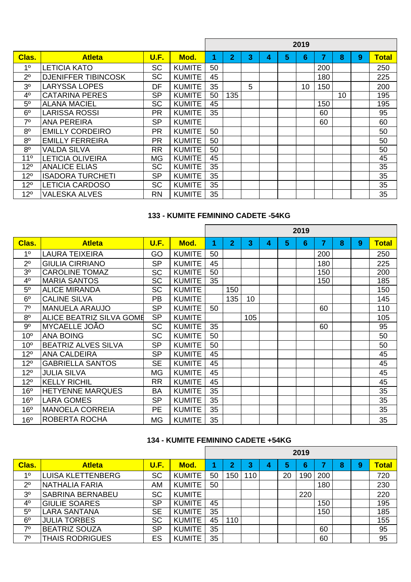|                 |                            |           |               |    |                |   |   |   | 2019            |                |    |   |              |
|-----------------|----------------------------|-----------|---------------|----|----------------|---|---|---|-----------------|----------------|----|---|--------------|
| Clas.           | <b>Atleta</b>              | U.F.      | Mod.          | 1  | $\overline{2}$ | 3 | 4 | 5 | 6               | $\overline{7}$ | 8  | 9 | <b>Total</b> |
| 1 <sup>0</sup>  | <b>LETICIA KATO</b>        | <b>SC</b> | <b>KUMITE</b> | 50 |                |   |   |   |                 | 200            |    |   | 250          |
| 2 <sup>0</sup>  | <b>DJENIFFER TIBINCOSK</b> | <b>SC</b> | <b>KUMITE</b> | 45 |                |   |   |   |                 | 180            |    |   | 225          |
| 3 <sup>0</sup>  | <b>LARYSSA LOPES</b>       | DF        | <b>KUMITE</b> | 35 |                | 5 |   |   | 10 <sup>1</sup> | 150            |    |   | 200          |
| $4^{\circ}$     | <b>CATARINA PERES</b>      | <b>SP</b> | <b>KUMITE</b> | 50 | 135            |   |   |   |                 |                | 10 |   | 195          |
| 5 <sup>0</sup>  | <b>ALANA MACIEL</b>        | <b>SC</b> | <b>KUMITE</b> | 45 |                |   |   |   |                 | 150            |    |   | 195          |
| 6 <sup>o</sup>  | <b>LARISSA ROSSI</b>       | <b>PR</b> | <b>KUMITE</b> | 35 |                |   |   |   |                 | 60             |    |   | 95           |
| 7 <sup>0</sup>  | <b>ANA PEREIRA</b>         | <b>SP</b> | <b>KUMITE</b> |    |                |   |   |   |                 | 60             |    |   | 60           |
| 8 <sup>0</sup>  | <b>EMILLY CORDEIRO</b>     | <b>PR</b> | <b>KUMITE</b> | 50 |                |   |   |   |                 |                |    |   | 50           |
| 8 <sup>0</sup>  | <b>EMILLY FERREIRA</b>     | <b>PR</b> | <b>KUMITE</b> | 50 |                |   |   |   |                 |                |    |   | 50           |
| 8 <sup>o</sup>  | <b>VALDA SILVA</b>         | <b>RR</b> | <b>KUMITE</b> | 50 |                |   |   |   |                 |                |    |   | 50           |
| 11 <sup>°</sup> | <b>LETICIA OLIVEIRA</b>    | <b>MG</b> | <b>KUMITE</b> | 45 |                |   |   |   |                 |                |    |   | 45           |
| $12^{\circ}$    | <b>ANALICE ELIAS</b>       | <b>SC</b> | <b>KUMITE</b> | 35 |                |   |   |   |                 |                |    |   | 35           |
| $12^{\circ}$    | <b>ISADORA TURCHETI</b>    | <b>SP</b> | <b>KUMITE</b> | 35 |                |   |   |   |                 |                |    |   | 35           |
| $12^{\circ}$    | <b>LETICIA CARDOSO</b>     | <b>SC</b> | <b>KUMITE</b> | 35 |                |   |   |   |                 |                |    |   | 35           |
| $12^{\circ}$    | <b>VALESKA ALVES</b>       | <b>RN</b> | <b>KUMITE</b> | 35 |                |   |   |   |                 |                |    |   | 35           |

# **133 - KUMITE FEMININO CADETE -54KG**

|                 |                                 |             |               |    |                |     |   |   | 2019 |     |   |   |              |
|-----------------|---------------------------------|-------------|---------------|----|----------------|-----|---|---|------|-----|---|---|--------------|
| Clas.           | <b>Atleta</b>                   | <b>U.F.</b> | Mod.          | 1  | $\overline{2}$ | 3   | 4 | 5 | 6    | 7   | 8 | 9 | <b>Total</b> |
| 1 <sup>0</sup>  | <b>LAURA TEIXEIRA</b>           | GO          | <b>KUMITE</b> | 50 |                |     |   |   |      | 200 |   |   | 250          |
| 2 <sup>0</sup>  | <b>GIULIA CIRRIANO</b>          | <b>SP</b>   | <b>KUMITE</b> | 45 |                |     |   |   |      | 180 |   |   | 225          |
| 3 <sup>o</sup>  | <b>CAROLINE TOMAZ</b>           | <b>SC</b>   | <b>KUMITE</b> | 50 |                |     |   |   |      | 150 |   |   | 200          |
| 4 <sup>0</sup>  | <b>MARIA SANTOS</b>             | <b>SC</b>   | <b>KUMITE</b> | 35 |                |     |   |   |      | 150 |   |   | 185          |
| 5 <sup>0</sup>  | <b>ALICE MIRANDA</b>            | <b>SC</b>   | <b>KUMITE</b> |    | 150            |     |   |   |      |     |   |   | 150          |
| 6 <sup>o</sup>  | <b>CALINE SILVA</b>             | <b>PB</b>   | <b>KUMITE</b> |    | 135            | 10  |   |   |      |     |   |   | 145          |
| 7 <sup>0</sup>  | <b>MANUELA ARAUJO</b>           | <b>SP</b>   | <b>KUMITE</b> | 50 |                |     |   |   |      | 60  |   |   | 110          |
| 8 <sup>o</sup>  | <b>ALICE BEATRIZ SILVA GOME</b> | <b>SP</b>   | <b>KUMITE</b> |    |                | 105 |   |   |      |     |   |   | 105          |
| 9 <sup>o</sup>  | <b>MYCAELLE JOAO</b>            | <b>SC</b>   | <b>KUMITE</b> | 35 |                |     |   |   |      | 60  |   |   | 95           |
| 10 <sup>o</sup> | <b>ANA BOING</b>                | <b>SC</b>   | <b>KUMITE</b> | 50 |                |     |   |   |      |     |   |   | 50           |
| 10 <sup>o</sup> | <b>BEATRIZ ALVES SILVA</b>      | <b>SP</b>   | <b>KUMITE</b> | 50 |                |     |   |   |      |     |   |   | 50           |
| 12 <sup>o</sup> | <b>ANA CALDEIRA</b>             | <b>SP</b>   | <b>KUMITE</b> | 45 |                |     |   |   |      |     |   |   | 45           |
| $12^{\circ}$    | <b>GABRIELLA SANTOS</b>         | <b>SE</b>   | <b>KUMITE</b> | 45 |                |     |   |   |      |     |   |   | 45           |
| 12 <sup>o</sup> | <b>JULIA SILVA</b>              | <b>MG</b>   | <b>KUMITE</b> | 45 |                |     |   |   |      |     |   |   | 45           |
| $12^{\circ}$    | <b>KELLY RICHIL</b>             | <b>RR</b>   | <b>KUMITE</b> | 45 |                |     |   |   |      |     |   |   | 45           |
| 16 <sup>o</sup> | <b>HETYENNE MARQUES</b>         | <b>BA</b>   | <b>KUMITE</b> | 35 |                |     |   |   |      |     |   |   | 35           |
| 16 <sup>o</sup> | <b>LARA GOMES</b>               | <b>SP</b>   | <b>KUMITE</b> | 35 |                |     |   |   |      |     |   |   | 35           |
| 16 <sup>o</sup> | <b>MANOELA CORREIA</b>          | <b>PE</b>   | <b>KUMITE</b> | 35 |                |     |   |   |      |     |   |   | 35           |
| 16 <sup>o</sup> | ROBERTA ROCHA                   | <b>MG</b>   | <b>KUMITE</b> | 35 |                |     |   |   |      |     |   |   | 35           |

# **134 - KUMITE FEMININO CADETE +54KG**

|                |                          |           |               |    |                         |     |   |    | 2019 |     |   |   |       |
|----------------|--------------------------|-----------|---------------|----|-------------------------|-----|---|----|------|-----|---|---|-------|
| Clas.          | <b>Atleta</b>            | U.F.      | Mod.          |    | $\overline{\mathbf{2}}$ | 3   | 4 | 5  | 6    |     | 8 | 9 | Total |
| 10             | <b>LUISA KLETTENBERG</b> | <b>SC</b> | <b>KUMITE</b> | 50 | 150                     | 110 |   | 20 | 190  | 200 |   |   | 720   |
| $2^{\circ}$    | <b>NATHALIA FARIA</b>    | AM        | <b>KUMITE</b> | 50 |                         |     |   |    |      | 180 |   |   | 230   |
| 3 <sup>o</sup> | <b>SABRINA BERNABEU</b>  | <b>SC</b> | <b>KUMITE</b> |    |                         |     |   |    | 220  |     |   |   | 220   |
| 4 <sup>o</sup> | <b>GIULIE SOARES</b>     | <b>SP</b> | <b>KUMITE</b> | 45 |                         |     |   |    |      | 150 |   |   | 195   |
| 5 <sup>0</sup> | <b>LARA SANTANA</b>      | <b>SE</b> | <b>KUMITE</b> | 35 |                         |     |   |    |      | 150 |   |   | 185   |
| 6 <sup>o</sup> | <b>JULIA TORBES</b>      | <b>SC</b> | <b>KUMITE</b> | 45 | 110                     |     |   |    |      |     |   |   | 155   |
| 70             | <b>BEATRIZ SOUZA</b>     | <b>SP</b> | <b>KUMITE</b> | 35 |                         |     |   |    |      | 60  |   |   | 95    |
| 70             | <b>THAIS RODRIGUES</b>   | ES        | <b>KUMITE</b> | 35 |                         |     |   |    |      | 60  |   |   | 95    |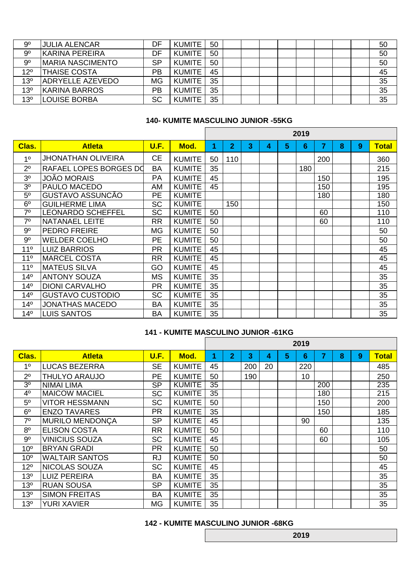| 9 <sup>o</sup>  | <b>JULIA ALENCAR</b>     | DF        | <b>KUMITE</b> | 50 |  |  |  |  | 50 |
|-----------------|--------------------------|-----------|---------------|----|--|--|--|--|----|
| 9 <sup>o</sup>  | <b>KARINA PEREIRA</b>    | DF        | <b>KUMITE</b> | 50 |  |  |  |  | 50 |
| 9 <sup>o</sup>  | <b>IMARIA NASCIMENTO</b> | <b>SP</b> | <b>KUMITE</b> | 50 |  |  |  |  | 50 |
| 12 <sup>o</sup> | <b>THAISE COSTA</b>      | PB        | <b>KUMITE</b> | 45 |  |  |  |  | 45 |
| 13 <sup>o</sup> | <b>ADRYELLE AZEVEDO</b>  | <b>MG</b> | <b>KUMITE</b> | 35 |  |  |  |  | 35 |
| 13 <sup>o</sup> | <b>KARINA BARROS</b>     | <b>PB</b> | <b>KUMITE</b> | 35 |  |  |  |  | 35 |
| 13 <sup>o</sup> | <b>ILOUISE BORBA</b>     | SC        | <b>KUMITE</b> | 35 |  |  |  |  | 35 |

'n

# **140- KUMITE MASCULINO JUNIOR -55KG**

|                 |                           |             |               |    |                |   |   |   | 2019 |     |   |   |              |
|-----------------|---------------------------|-------------|---------------|----|----------------|---|---|---|------|-----|---|---|--------------|
| Clas.           | <b>Atleta</b>             | <b>U.F.</b> | Mod.          | 1  | $\overline{2}$ | 3 | 4 | 5 | 6    | 7   | 8 | 9 | <b>Total</b> |
| 1 <sup>0</sup>  | <b>JHONATHAN OLIVEIRA</b> | <b>CE</b>   | <b>KUMITE</b> | 50 | 110            |   |   |   |      | 200 |   |   | 360          |
| $2^{\circ}$     | RAFAEL LOPES BORGES DO    | <b>BA</b>   | <b>KUMITE</b> | 35 |                |   |   |   | 180  |     |   |   | 215          |
| 3 <sup>0</sup>  | <b>JOÃO MORAIS</b>        | PA          | <b>KUMITE</b> | 45 |                |   |   |   |      | 150 |   |   | 195          |
| 3 <sup>0</sup>  | <b>PAULO MACEDO</b>       | AM          | <b>KUMITE</b> | 45 |                |   |   |   |      | 150 |   |   | 195          |
| $5^{\circ}$     | <b>GUSTAVO ASSUNCÃO</b>   | <b>PE</b>   | <b>KUMITE</b> |    |                |   |   |   |      | 180 |   |   | 180          |
| 6 <sup>o</sup>  | <b>GUILHERME LIMA</b>     | <b>SC</b>   | <b>KUMITE</b> |    | 150            |   |   |   |      |     |   |   | 150          |
| 7 <sup>0</sup>  | <b>LEONARDO SCHEFFEL</b>  | <b>SC</b>   | <b>KUMITE</b> | 50 |                |   |   |   |      | 60  |   |   | 110          |
| 7 <sup>0</sup>  | <b>NATANAEL LEITE</b>     | <b>RR</b>   | <b>KUMITE</b> | 50 |                |   |   |   |      | 60  |   |   | 110          |
| $9^{\circ}$     | <b>PEDRO FREIRE</b>       | <b>MG</b>   | <b>KUMITE</b> | 50 |                |   |   |   |      |     |   |   | 50           |
| 9 <sup>o</sup>  | <b>WELDER COELHO</b>      | <b>PE</b>   | <b>KUMITE</b> | 50 |                |   |   |   |      |     |   |   | 50           |
| 11 <sup>°</sup> | <b>LUIZ BARRIOS</b>       | <b>PR</b>   | <b>KUMITE</b> | 45 |                |   |   |   |      |     |   |   | 45           |
| 11 <sup>°</sup> | <b>MARCEL COSTA</b>       | <b>RR</b>   | <b>KUMITE</b> | 45 |                |   |   |   |      |     |   |   | 45           |
| 11 <sup>°</sup> | <b>MATEUS SILVA</b>       | GO          | <b>KUMITE</b> | 45 |                |   |   |   |      |     |   |   | 45           |
| 14 <sup>°</sup> | <b>ANTONY SOUZA</b>       | <b>MS</b>   | <b>KUMITE</b> | 35 |                |   |   |   |      |     |   |   | 35           |
| 14 <sup>°</sup> | <b>DIONI CARVALHO</b>     | <b>PR</b>   | <b>KUMITE</b> | 35 |                |   |   |   |      |     |   |   | 35           |
| 14 <sup>°</sup> | <b>GUSTAVO CUSTODIO</b>   | <b>SC</b>   | <b>KUMITE</b> | 35 |                |   |   |   |      |     |   |   | 35           |
| 14 <sup>°</sup> | <b>JONATHAS MACEDO</b>    | <b>BA</b>   | <b>KUMITE</b> | 35 |                |   |   |   |      |     |   |   | 35           |
| 14 <sup>°</sup> | <b>LUIS SANTOS</b>        | <b>BA</b>   | <b>KUMITE</b> | 35 |                |   |   |   |      |     |   |   | 35           |

# **141 - KUMITE MASCULINO JUNIOR -61KG**

|                 |                        |           |               |    |                |     |    |   | 2019 |                |   |   |              |
|-----------------|------------------------|-----------|---------------|----|----------------|-----|----|---|------|----------------|---|---|--------------|
| Clas.           | <b>Atleta</b>          | U.F.      | Mod.          | 4  | $\overline{2}$ | 3   | 4  | 5 | 6    | $\overline{7}$ | 8 | 9 | <b>Total</b> |
| 1 <sup>0</sup>  | <b>LUCAS BEZERRA</b>   | <b>SE</b> | <b>KUMITE</b> | 45 |                | 200 | 20 |   | 220  |                |   |   | 485          |
| $2^{\circ}$     | <b>THULYO ARAUJO</b>   | <b>PE</b> | <b>KUMITE</b> | 50 |                | 190 |    |   | 10   |                |   |   | 250          |
| 3 <sup>o</sup>  | <b>NIMAI LIMA</b>      | <b>SP</b> | <b>KUMITE</b> | 35 |                |     |    |   |      | 200            |   |   | 235          |
| 4 <sup>o</sup>  | <b>MAICOW MACIEL</b>   | <b>SC</b> | <b>KUMITE</b> | 35 |                |     |    |   |      | 180            |   |   | 215          |
| 5 <sup>o</sup>  | <b>VITOR HESSMANN</b>  | <b>SC</b> | <b>KUMITE</b> | 50 |                |     |    |   |      | 150            |   |   | 200          |
| 6 <sup>o</sup>  | <b>ENZO TAVARES</b>    | <b>PR</b> | <b>KUMITE</b> | 35 |                |     |    |   |      | 150            |   |   | 185          |
| 7 <sup>0</sup>  | <b>MURILO MENDONÇA</b> | <b>SP</b> | <b>KUMITE</b> | 45 |                |     |    |   | 90   |                |   |   | 135          |
| 8 <sup>0</sup>  | <b>ELISON COSTA</b>    | <b>RR</b> | <b>KUMITE</b> | 50 |                |     |    |   |      | 60             |   |   | 110          |
| 9 <sup>o</sup>  | VINICIUS SOUZA         | <b>SC</b> | <b>KUMITE</b> | 45 |                |     |    |   |      | 60             |   |   | 105          |
| 10 <sup>o</sup> | <b>BRYAN GRADI</b>     | <b>PR</b> | <b>KUMITE</b> | 50 |                |     |    |   |      |                |   |   | 50           |
| 10 <sup>o</sup> | <b>WALTAIR SANTOS</b>  | <b>RJ</b> | <b>KUMITE</b> | 50 |                |     |    |   |      |                |   |   | 50           |
| $12^{\circ}$    | <b>NICOLAS SOUZA</b>   | <b>SC</b> | <b>KUMITE</b> | 45 |                |     |    |   |      |                |   |   | 45           |
| 13 <sup>o</sup> | <b>LUIZ PEREIRA</b>    | <b>BA</b> | <b>KUMITE</b> | 35 |                |     |    |   |      |                |   |   | 35           |
| 13 <sup>o</sup> | <b>RUAN SOUSA</b>      | <b>SP</b> | <b>KUMITE</b> | 35 |                |     |    |   |      |                |   |   | 35           |
| 13 <sup>o</sup> | <b>SIMON FREITAS</b>   | <b>BA</b> | <b>KUMITE</b> | 35 |                |     |    |   |      |                |   |   | 35           |
| 13 <sup>o</sup> | <b>YURI XAVIER</b>     | <b>MG</b> | <b>KUMITE</b> | 35 |                |     |    |   |      |                |   |   | 35           |

## **142 - KUMITE MASCULINO JUNIOR -68KG**

**2019**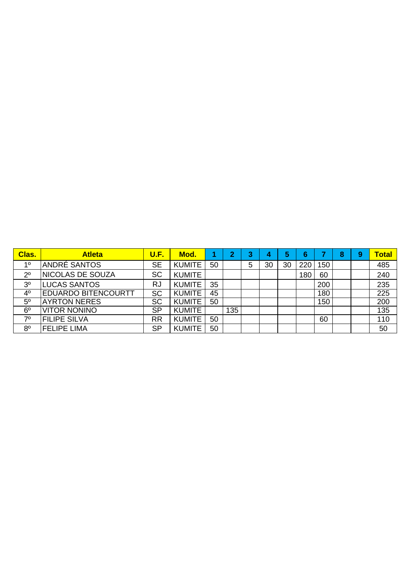| <b>Clas.</b>   | <b>Atleta</b>              | <b>U.F.</b> | Mod.          |    | $\overline{2}$ | ≏ | 4  |    | 6   |     | 8 | 9 | <b>Total</b> |
|----------------|----------------------------|-------------|---------------|----|----------------|---|----|----|-----|-----|---|---|--------------|
| 10             | ANDRÉ SANTOS               | <b>SE</b>   | <b>KUMITE</b> | 50 |                | 5 | 30 | 30 | 220 | 150 |   |   | 485          |
| $2^{\circ}$    | <b>INICOLAS DE SOUZA</b>   | <b>SC</b>   | <b>KUMITE</b> |    |                |   |    |    | 180 | 60  |   |   | 240          |
| 3 <sup>o</sup> | <b>LUCAS SANTOS</b>        | <b>RJ</b>   | <b>KUMITE</b> | 35 |                |   |    |    |     | 200 |   |   | 235          |
| 4 <sup>0</sup> | <b>EDUARDO BITENCOURTT</b> | <b>SC</b>   | <b>KUMITE</b> | 45 |                |   |    |    |     | 180 |   |   | 225          |
| 5 <sup>o</sup> | <b>AYRTON NERES</b>        | <b>SC</b>   | <b>KUMITE</b> | 50 |                |   |    |    |     | 150 |   |   | 200          |
| 6 <sup>o</sup> | <b>VITOR NONINO</b>        | <b>SP</b>   | <b>KUMITE</b> |    | 135            |   |    |    |     |     |   |   | 135          |
| 70             | <b>FILIPE SILVA</b>        | <b>RR</b>   | <b>KUMITE</b> | 50 |                |   |    |    |     | 60  |   |   | 110          |
| 8 <sup>o</sup> | <b>FELIPE LIMA</b>         | <b>SP</b>   | <b>KUMITE</b> | 50 |                |   |    |    |     |     |   |   | 50           |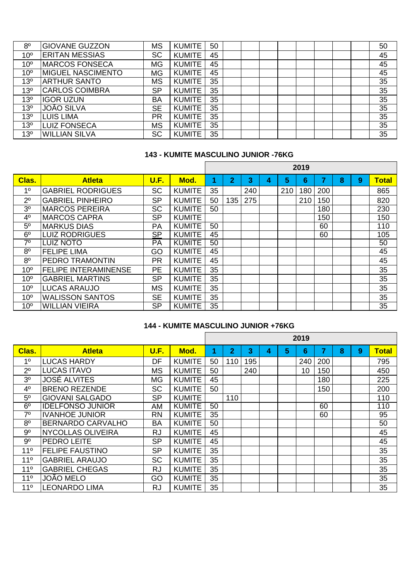| 8 <sup>o</sup>  | <b>GIOVANE GUZZON</b>    | <b>MS</b> | <b>KUMITE</b> | 50 |  |  |  |  | 50 |
|-----------------|--------------------------|-----------|---------------|----|--|--|--|--|----|
| 10 <sup>o</sup> | <b>ERITAN MESSIAS</b>    | <b>SC</b> | <b>KUMITE</b> | 45 |  |  |  |  | 45 |
| 10 <sup>o</sup> | <b>MARCOS FONSECA</b>    | <b>MG</b> | <b>KUMITE</b> | 45 |  |  |  |  | 45 |
| 10 <sup>o</sup> | <b>MIGUEL NASCIMENTO</b> | <b>MG</b> | <b>KUMITE</b> | 45 |  |  |  |  | 45 |
| 13 <sup>o</sup> | <b>ARTHUR SANTO</b>      | <b>MS</b> | <b>KUMITE</b> | 35 |  |  |  |  | 35 |
| 13 <sup>o</sup> | <b>CARLOS COIMBRA</b>    | <b>SP</b> | <b>KUMITE</b> | 35 |  |  |  |  | 35 |
| 13 <sup>o</sup> | <b>IGOR UZUN</b>         | <b>BA</b> | <b>KUMITE</b> | 35 |  |  |  |  | 35 |
| 13 <sup>o</sup> | <b>JOÃO SILVA</b>        | <b>SE</b> | <b>KUMITE</b> | 35 |  |  |  |  | 35 |
| 13 <sup>o</sup> | <b>LUIS LIMA</b>         | <b>PR</b> | <b>KUMITE</b> | 35 |  |  |  |  | 35 |
| 13 <sup>o</sup> | <b>LUIZ FONSECA</b>      | <b>MS</b> | <b>KUMITE</b> | 35 |  |  |  |  | 35 |
| 13 <sup>o</sup> | <b>WILLIAN SILVA</b>     | <b>SC</b> | <b>KUMITE</b> | 35 |  |  |  |  | 35 |

# **143 - KUMITE MASCULINO JUNIOR -76KG**

|                 |                             |             |               |    |                |     |   |     | 2019 |     |   |   |              |
|-----------------|-----------------------------|-------------|---------------|----|----------------|-----|---|-----|------|-----|---|---|--------------|
| Clas.           | <b>Atleta</b>               | <b>U.F.</b> | Mod.          |    | $\overline{2}$ | 3   | 4 | 5   | 6    | 7   | 8 | 9 | <b>Total</b> |
| 1 <sup>0</sup>  | <b>GABRIEL RODRIGUES</b>    | <b>SC</b>   | <b>KUMITE</b> | 35 |                | 240 |   | 210 | 180  | 200 |   |   | 865          |
| $2^{\circ}$     | <b>GABRIEL PINHEIRO</b>     | <b>SP</b>   | <b>KUMITE</b> | 50 | 135            | 275 |   |     | 210  | 150 |   |   | 820          |
| 3 <sup>0</sup>  | <b>MARCOS PEREIRA</b>       | <b>SC</b>   | <b>KUMITE</b> | 50 |                |     |   |     |      | 180 |   |   | 230          |
| 4 <sup>0</sup>  | <b>IMARCOS CAPRA</b>        | <b>SP</b>   | <b>KUMITE</b> |    |                |     |   |     |      | 150 |   |   | 150          |
| 5 <sup>o</sup>  | <b>MARKUS DIAS</b>          | PA          | <b>KUMITE</b> | 50 |                |     |   |     |      | 60  |   |   | 110          |
| 6 <sup>o</sup>  | <b>LUIZ RODRIGUES</b>       | <b>SP</b>   | <b>KUMITE</b> | 45 |                |     |   |     |      | 60  |   |   | 105          |
| 7 <sup>0</sup>  | <b>LUIZ NOTO</b>            | PA          | <b>KUMITE</b> | 50 |                |     |   |     |      |     |   |   | 50           |
| 8 <sup>o</sup>  | <b>FELIPE LIMA</b>          | GO          | <b>KUMITE</b> | 45 |                |     |   |     |      |     |   |   | 45           |
| 8 <sup>o</sup>  | IPEDRO TRAMONTIN            | <b>PR</b>   | <b>KUMITE</b> | 45 |                |     |   |     |      |     |   |   | 45           |
| 10 <sup>o</sup> | <b>FELIPE INTERAMINENSE</b> | <b>PE</b>   | <b>KUMITE</b> | 35 |                |     |   |     |      |     |   |   | 35           |
| 10 <sup>o</sup> | <b>GABRIEL MARTINS</b>      | <b>SP</b>   | <b>KUMITE</b> | 35 |                |     |   |     |      |     |   |   | 35           |
| 10 <sup>o</sup> | LUCAS ARAUJO                | MS          | <b>KUMITE</b> | 35 |                |     |   |     |      |     |   |   | 35           |
| 10 <sup>o</sup> | <b>WALISSON SANTOS</b>      | <b>SE</b>   | <b>KUMITE</b> | 35 |                |     |   |     |      |     |   |   | 35           |
| 10 <sup>o</sup> | <b>WILLIAN VIEIRA</b>       | <b>SP</b>   | <b>KUMITE</b> | 35 |                |     |   |     |      |     |   |   | 35           |

# **144 - KUMITE MASCULINO JUNIOR +76KG**

|                 |                          |             |               |    |                |     |   |   | 2019 |     |   |   |              |
|-----------------|--------------------------|-------------|---------------|----|----------------|-----|---|---|------|-----|---|---|--------------|
| Clas.           | <b>Atleta</b>            | <b>U.F.</b> | Mod.          | 1  | $\overline{2}$ | 3   | 4 | 5 | 6    | 7   | 8 | 9 | <b>Total</b> |
| 1 <sup>0</sup>  | <b>LUCAS HARDY</b>       | DF          | <b>KUMITE</b> | 50 | 110            | 195 |   |   | 240  | 200 |   |   | 795          |
| $2^{\circ}$     | <b>LUCAS ITAVO</b>       | <b>MS</b>   | <b>KUMITE</b> | 50 |                | 240 |   |   | 10   | 150 |   |   | 450          |
| 3 <sup>0</sup>  | <b>JOSÉ ALVITES</b>      | <b>MG</b>   | <b>KUMITE</b> | 45 |                |     |   |   |      | 180 |   |   | 225          |
| 4 <sup>0</sup>  | <b>BRENO REZENDE</b>     | <b>SC</b>   | <b>KUMITE</b> | 50 |                |     |   |   |      | 150 |   |   | 200          |
| 5 <sup>o</sup>  | <b>GIOVANI SALGADO</b>   | <b>SP</b>   | <b>KUMITE</b> |    | 110            |     |   |   |      |     |   |   | 110          |
| 6 <sup>o</sup>  | <b>IDELFONSO JUNIOR</b>  | AM          | <b>KUMITE</b> | 50 |                |     |   |   |      | 60  |   |   | 110          |
| 7 <sup>0</sup>  | <b>IVANHOE JUNIOR</b>    | <b>RN</b>   | <b>KUMITE</b> | 35 |                |     |   |   |      | 60  |   |   | 95           |
| 8 <sup>o</sup>  | <b>BERNARDO CARVALHO</b> | <b>BA</b>   | <b>KUMITE</b> | 50 |                |     |   |   |      |     |   |   | 50           |
| 9 <sup>o</sup>  | <b>NYCOLLAS OLIVEIRA</b> | <b>RJ</b>   | <b>KUMITE</b> | 45 |                |     |   |   |      |     |   |   | 45           |
| $9^{\circ}$     | <b>PEDRO LEITE</b>       | <b>SP</b>   | <b>KUMITE</b> | 45 |                |     |   |   |      |     |   |   | 45           |
| 11 <sup>°</sup> | <b>FELIPE FAUSTINO</b>   | <b>SP</b>   | <b>KUMITE</b> | 35 |                |     |   |   |      |     |   |   | 35           |
| 11 <sup>°</sup> | <b>GABRIEL ARAUJO</b>    | <b>SC</b>   | <b>KUMITE</b> | 35 |                |     |   |   |      |     |   |   | 35           |
| 11 <sup>°</sup> | <b>GABRIEL CHEGAS</b>    | <b>RJ</b>   | <b>KUMITE</b> | 35 |                |     |   |   |      |     |   |   | 35           |
| 11 <sup>°</sup> | <b>JOÃO MELO</b>         | GO          | <b>KUMITE</b> | 35 |                |     |   |   |      |     |   |   | 35           |
| 11 <sup>°</sup> | <b>LEONARDO LIMA</b>     | <b>RJ</b>   | <b>KUMITE</b> | 35 |                |     |   |   |      |     |   |   | 35           |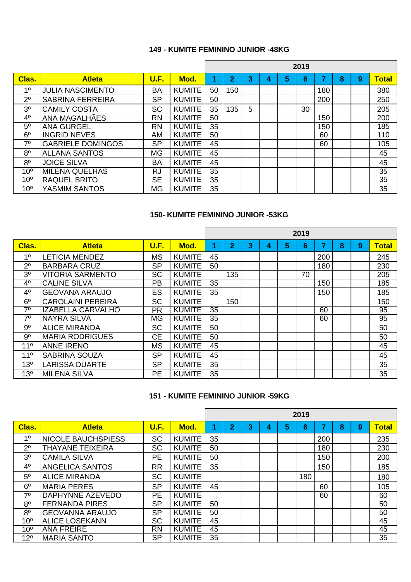#### **149 - KUMITE FEMININO JUNIOR -48KG**

|                 |                          |             |               |    |                |   |   |   | 2019 |     |   |   |                 |
|-----------------|--------------------------|-------------|---------------|----|----------------|---|---|---|------|-----|---|---|-----------------|
| Clas.           | <b>Atleta</b>            | <b>U.F.</b> | Mod.          |    | $\overline{2}$ | 3 | 4 | 5 | 6    |     | 8 | 9 | <b>Total</b>    |
| 1 <sup>0</sup>  | <b>JULIA NASCIMENTO</b>  | <b>BA</b>   | <b>KUMITE</b> | 50 | 150            |   |   |   |      | 180 |   |   | 380             |
| $2^{\circ}$     | <b>SABRINA FERREIRA</b>  | <b>SP</b>   | <b>KUMITE</b> | 50 |                |   |   |   |      | 200 |   |   | 250             |
| 3 <sup>o</sup>  | <b>CAMILY COSTA</b>      | <b>SC</b>   | <b>KUMITE</b> | 35 | 135            | 5 |   |   | 30   |     |   |   | 205             |
| 4 <sup>0</sup>  | <b>ANA MAGALHAES</b>     | <b>RN</b>   | <b>KUMITE</b> | 50 |                |   |   |   |      | 150 |   |   | 200             |
| $5^{\circ}$     | <b>ANA GURGEL</b>        | <b>RN</b>   | <b>KUMITE</b> | 35 |                |   |   |   |      | 150 |   |   | 185             |
| 6 <sup>o</sup>  | <b>INGRID NEVES</b>      | AM          | <b>KUMITE</b> | 50 |                |   |   |   |      | 60  |   |   | 110             |
| 7 <sup>0</sup>  | <b>GABRIELE DOMINGOS</b> | <b>SP</b>   | <b>KUMITE</b> | 45 |                |   |   |   |      | 60  |   |   | 105             |
| 8 <sup>o</sup>  | <b>ALLANA SANTOS</b>     | <b>MG</b>   | <b>KUMITE</b> | 45 |                |   |   |   |      |     |   |   | 45              |
| 8 <sup>o</sup>  | <b>JOICE SILVA</b>       | <b>BA</b>   | <b>KUMITE</b> | 45 |                |   |   |   |      |     |   |   | 45              |
| 10 <sup>o</sup> | <b>MILENA QUELHAS</b>    | <b>RJ</b>   | <b>KUMITE</b> | 35 |                |   |   |   |      |     |   |   | 35              |
| 10 <sup>o</sup> | <b>RAQUEL BRITO</b>      | <b>SE</b>   | <b>KUMITE</b> | 35 |                |   |   |   |      |     |   |   | $\overline{35}$ |
| 10 <sup>o</sup> | YASMIM SANTOS            | <b>MG</b>   | <b>KUMITE</b> | 35 |                |   |   |   |      |     |   |   | 35              |

#### **150- KUMITE FEMININO JUNIOR -53KG**

|                 |                          |           |               |    |                |   |   |   | 2019 |     |   |   |              |
|-----------------|--------------------------|-----------|---------------|----|----------------|---|---|---|------|-----|---|---|--------------|
| Clas.           | <b>Atleta</b>            | U.F.      | Mod.          | 1  | $\overline{2}$ | 3 | 4 | 5 | 6    | 7   | 8 | 9 | <b>Total</b> |
| 1 <sup>0</sup>  | <b>LETICIA MENDEZ</b>    | <b>MS</b> | <b>KUMITE</b> | 45 |                |   |   |   |      | 200 |   |   | 245          |
| $2^{\circ}$     | <b>BARBARA CRUZ</b>      | <b>SP</b> | <b>KUMITE</b> | 50 |                |   |   |   |      | 180 |   |   | 230          |
| 3 <sup>0</sup>  | <b>VITORIA SARMENTO</b>  | <b>SC</b> | <b>KUMITE</b> |    | 135            |   |   |   | 70   |     |   |   | 205          |
| 4 <sup>0</sup>  | <b>CALINE SILVA</b>      | <b>PB</b> | <b>KUMITE</b> | 35 |                |   |   |   |      | 150 |   |   | 185          |
| 4 <sup>0</sup>  | <b>GEOVANA ARAUJO</b>    | <b>ES</b> | <b>KUMITE</b> | 35 |                |   |   |   |      | 150 |   |   | 185          |
| 6 <sup>o</sup>  | <b>CAROLAINI PEREIRA</b> | <b>SC</b> | <b>KUMITE</b> |    | 150            |   |   |   |      |     |   |   | 150          |
| 7 <sup>0</sup>  | <b>IZABELLA CARVALHO</b> | <b>PR</b> | <b>KUMITE</b> | 35 |                |   |   |   |      | 60  |   |   | 95           |
| 7 <sup>0</sup>  | <b>NAYRA SILVA</b>       | <b>MG</b> | <b>KUMITE</b> | 35 |                |   |   |   |      | 60  |   |   | 95           |
| 9 <sup>o</sup>  | <b>ALICE MIRANDA</b>     | <b>SC</b> | <b>KUMITE</b> | 50 |                |   |   |   |      |     |   |   | 50           |
| 9 <sup>o</sup>  | <b>MARIA RODRIGUES</b>   | <b>CE</b> | <b>KUMITE</b> | 50 |                |   |   |   |      |     |   |   | 50           |
| 11 <sup>°</sup> | <b>ANNE IRENO</b>        | <b>MS</b> | <b>KUMITE</b> | 45 |                |   |   |   |      |     |   |   | 45           |
| 11 <sup>°</sup> | <b>SABRINA SOUZA</b>     | <b>SP</b> | <b>KUMITE</b> | 45 |                |   |   |   |      |     |   |   | 45           |
| 13 <sup>o</sup> | <b>LARISSA DUARTE</b>    | <b>SP</b> | <b>KUMITE</b> | 35 |                |   |   |   |      |     |   |   | 35           |
| 13 <sup>o</sup> | <b>MILENA SILVA</b>      | <b>PE</b> | <b>KUMITE</b> | 35 |                |   |   |   |      |     |   |   | 35           |

#### **151 - KUMITE FEMININO JUNIOR -59KG**

|                 |                            |           |               |    |                |   |   |   | 2019 |     |   |   |              |
|-----------------|----------------------------|-----------|---------------|----|----------------|---|---|---|------|-----|---|---|--------------|
| Clas.           | <b>Atleta</b>              | U.F.      | Mod.          |    | $\overline{2}$ | 3 | 4 | 5 | 6    |     | 8 | 9 | <b>Total</b> |
| 1 <sup>0</sup>  | <b>INICOLE BAUCHSPIESS</b> | <b>SC</b> | <b>KUMITE</b> | 35 |                |   |   |   |      | 200 |   |   | 235          |
| 2 <sup>0</sup>  | <b>THAYANE TEIXEIRA</b>    | <b>SC</b> | <b>KUMITE</b> | 50 |                |   |   |   |      | 180 |   |   | 230          |
| 3 <sup>0</sup>  | <b>CAMILA SILVA</b>        | <b>PE</b> | <b>KUMITE</b> | 50 |                |   |   |   |      | 150 |   |   | 200          |
| 4 <sup>0</sup>  | <b>ANGELICA SANTOS</b>     | <b>RR</b> | <b>KUMITE</b> | 35 |                |   |   |   |      | 150 |   |   | 185          |
| 5 <sup>0</sup>  | <b>ALICE MIRANDA</b>       | <b>SC</b> | <b>KUMITE</b> |    |                |   |   |   | 180  |     |   |   | 180          |
| 6 <sup>o</sup>  | <b>MARIA PERES</b>         | <b>SP</b> | <b>KUMITE</b> | 45 |                |   |   |   |      | 60  |   |   | 105          |
| 7 <sup>0</sup>  | DAPHYNNE AZEVEDO           | <b>PE</b> | <b>KUMITE</b> |    |                |   |   |   |      | 60  |   |   | 60           |
| 8 <sup>o</sup>  | <b>FERNANDA PIRES</b>      | <b>SP</b> | <b>KUMITE</b> | 50 |                |   |   |   |      |     |   |   | 50           |
| 8 <sup>o</sup>  | <b>GEOVANNA ARAUJO</b>     | <b>SP</b> | <b>KUMITE</b> | 50 |                |   |   |   |      |     |   |   | 50           |
| 10 <sup>o</sup> | <b>ALICE LOSEKANN</b>      | <b>SC</b> | <b>KUMITE</b> | 45 |                |   |   |   |      |     |   |   | 45           |
| 10 <sup>o</sup> | <b>ANA FREIRE</b>          | <b>RN</b> | <b>KUMITE</b> | 45 |                |   |   |   |      |     |   |   | 45           |
| $12^{\circ}$    | <b>MARIA SANTO</b>         | <b>SP</b> | <b>KUMITE</b> | 35 |                |   |   |   |      |     |   |   | 35           |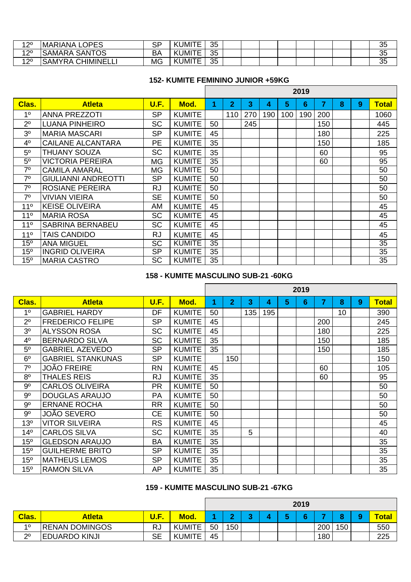| 1 20<br>▎∠        | <b>OPES</b><br><b>ANAIS</b><br><b>MAR</b><br>└ | n n<br>ان | 11T<br>JM<br>$\ddot{\phantom{0}}$<br><u>_</u> | つに<br>ິ  |  |  |  |  | n r<br>◡◡           |
|-------------------|------------------------------------------------|-----------|-----------------------------------------------|----------|--|--|--|--|---------------------|
| 1つ0<br>$\epsilon$ | <b>SANTOS</b><br><b>SAMARA</b>                 | DF        | $I = T$<br>JM<br>ີ<br>--                      | つに<br>ິ  |  |  |  |  | $\sim$ $\sim$<br>◡◡ |
| 1つ0<br>$\epsilon$ | <b>IIMINELL</b><br><b>SAMYRA</b><br>ີ∪Γ່       | <b>MG</b> | 11T<br>JM<br>$\sim$                           | つに<br>◡◡ |  |  |  |  | つに<br>◡◡            |

# **152- KUMITE FEMININO JUNIOR +59KG**

┑

|                 |                            |             |               |    |                |     |     |     | 2019 |                |   |   |              |
|-----------------|----------------------------|-------------|---------------|----|----------------|-----|-----|-----|------|----------------|---|---|--------------|
| Clas.           | <b>Atleta</b>              | <b>U.F.</b> | Mod.          | 1  | $\overline{2}$ | 3   | 4   | 5   | 6    | $\overline{7}$ | 8 | 9 | <b>Total</b> |
| 1 <sup>0</sup>  | <b>ANNA PREZZOTI</b>       | <b>SP</b>   | <b>KUMITE</b> |    | 110            | 270 | 190 | 100 | 190  | 200            |   |   | 1060         |
| $2^{\circ}$     | <b>LUANA PINHEIRO</b>      | <b>SC</b>   | <b>KUMITE</b> | 50 |                | 245 |     |     |      | 150            |   |   | 445          |
| 3 <sup>0</sup>  | <b>MARIA MASCARI</b>       | <b>SP</b>   | <b>KUMITE</b> | 45 |                |     |     |     |      | 180            |   |   | 225          |
| 4 <sup>0</sup>  | <b>CAILANE ALCANTARA</b>   | <b>PE</b>   | <b>KUMITE</b> | 35 |                |     |     |     |      | 150            |   |   | 185          |
| 5 <sup>0</sup>  | THUANY SOUZA               | <b>SC</b>   | <b>KUMITE</b> | 35 |                |     |     |     |      | 60             |   |   | 95           |
| 5 <sup>o</sup>  | <b>VICTORIA PEREIRA</b>    | <b>MG</b>   | <b>KUMITE</b> | 35 |                |     |     |     |      | 60             |   |   | 95           |
| 7 <sup>0</sup>  | <b>CAMILA AMARAL</b>       | <b>MG</b>   | <b>KUMITE</b> | 50 |                |     |     |     |      |                |   |   | 50           |
| $7^\circ$       | <b>GIULIANNI ANDREOTTI</b> | <b>SP</b>   | <b>KUMITE</b> | 50 |                |     |     |     |      |                |   |   | 50           |
| $7^\circ$       | <b>ROSIANE PEREIRA</b>     | <b>RJ</b>   | <b>KUMITE</b> | 50 |                |     |     |     |      |                |   |   | 50           |
| 7 <sup>0</sup>  | <b>VIVIAN VIEIRA</b>       | <b>SE</b>   | <b>KUMITE</b> | 50 |                |     |     |     |      |                |   |   | 50           |
| $11^{\circ}$    | <b>KEISE OLIVEIRA</b>      | AM          | <b>KUMITE</b> | 45 |                |     |     |     |      |                |   |   | 45           |
| 11 <sup>0</sup> | <b>MARIA ROSA</b>          | <b>SC</b>   | <b>KUMITE</b> | 45 |                |     |     |     |      |                |   |   | 45           |
| 11 <sup>°</sup> | <b>SABRINA BERNABEU</b>    | <b>SC</b>   | <b>KUMITE</b> | 45 |                |     |     |     |      |                |   |   | 45           |
| 11 <sup>°</sup> | TAIS CANDIDO               | <b>RJ</b>   | <b>KUMITE</b> | 45 |                |     |     |     |      |                |   |   | 45           |
| 15 <sup>o</sup> | <b>ANA MIGUEL</b>          | <b>SC</b>   | <b>KUMITE</b> | 35 |                |     |     |     |      |                |   |   | 35           |
| 15 <sup>o</sup> | <b>INGRID OLIVEIRA</b>     | <b>SP</b>   | <b>KUMITE</b> | 35 |                |     |     |     |      |                |   |   | 35           |
| 15 <sup>o</sup> | <b>MARIA CASTRO</b>        | SC          | <b>KUMITE</b> | 35 |                |     |     |     |      |                |   |   | 35           |

## **158 - KUMITE MASCULINO SUB-21 -60KG**

|                 |                          |             |               |    |                |     |     |   | 2019 |     |    |   |              |
|-----------------|--------------------------|-------------|---------------|----|----------------|-----|-----|---|------|-----|----|---|--------------|
| Clas.           | <b>Atleta</b>            | <b>U.F.</b> | Mod.          | 1  | $\overline{2}$ | 3   | 4   | 5 | 6    | 7   | 8  | 9 | <b>Total</b> |
| 1 <sup>0</sup>  | <b>GABRIEL HARDY</b>     | DF          | <b>KUMITE</b> | 50 |                | 135 | 195 |   |      |     | 10 |   | 390          |
| $2^{\circ}$     | <b>FREDERICO FELIPE</b>  | <b>SP</b>   | <b>KUMITE</b> | 45 |                |     |     |   |      | 200 |    |   | 245          |
| 3 <sup>0</sup>  | <b>ALYSSON ROSA</b>      | <b>SC</b>   | <b>KUMITE</b> | 45 |                |     |     |   |      | 180 |    |   | 225          |
| 4 <sup>0</sup>  | <b>BERNARDO SILVA</b>    | <b>SC</b>   | <b>KUMITE</b> | 35 |                |     |     |   |      | 150 |    |   | 185          |
| 5 <sup>o</sup>  | <b>GABRIEL AZEVEDO</b>   | <b>SP</b>   | <b>KUMITE</b> | 35 |                |     |     |   |      | 150 |    |   | 185          |
| 6 <sup>o</sup>  | <b>GABRIEL STANKUNAS</b> | <b>SP</b>   | <b>KUMITE</b> |    | 150            |     |     |   |      |     |    |   | 150          |
| 7 <sup>0</sup>  | <b>JOÃO FREIRE</b>       | <b>RN</b>   | <b>KUMITE</b> | 45 |                |     |     |   |      | 60  |    |   | 105          |
| 8 <sup>0</sup>  | <b>THALES REIS</b>       | <b>RJ</b>   | <b>KUMITE</b> | 35 |                |     |     |   |      | 60  |    |   | 95           |
| 9 <sup>o</sup>  | <b>CARLOS OLIVEIRA</b>   | <b>PR</b>   | <b>KUMITE</b> | 50 |                |     |     |   |      |     |    |   | 50           |
| 9 <sup>o</sup>  | <b>DOUGLAS ARAUJO</b>    | <b>PA</b>   | <b>KUMITE</b> | 50 |                |     |     |   |      |     |    |   | 50           |
| $9^{\circ}$     | <b>ERNANE ROCHA</b>      | <b>RR</b>   | <b>KUMITE</b> | 50 |                |     |     |   |      |     |    |   | 50           |
| 9 <sup>o</sup>  | <b>JOÃO SEVERO</b>       | <b>CE</b>   | <b>KUMITE</b> | 50 |                |     |     |   |      |     |    |   | 50           |
| 13 <sup>o</sup> | <b>VITOR SILVEIRA</b>    | <b>RS</b>   | <b>KUMITE</b> | 45 |                |     |     |   |      |     |    |   | 45           |
| 14 <sup>°</sup> | <b>CARLOS SILVA</b>      | <b>SC</b>   | <b>KUMITE</b> | 35 |                | 5   |     |   |      |     |    |   | 40           |
| 15 <sup>o</sup> | <b>GLEDSON ARAUJO</b>    | <b>BA</b>   | <b>KUMITE</b> | 35 |                |     |     |   |      |     |    |   | 35           |
| 15 <sup>o</sup> | <b>GUILHERME BRITO</b>   | <b>SP</b>   | <b>KUMITE</b> | 35 |                |     |     |   |      |     |    |   | 35           |
| 15 <sup>o</sup> | <b>MATHEUS LEMOS</b>     | <b>SP</b>   | <b>KUMITE</b> | 35 |                |     |     |   |      |     |    |   | 35           |
| 15 <sup>o</sup> | <b>RAMON SILVA</b>       | AP          | <b>KUMITE</b> | 35 |                |     |     |   |      |     |    |   | 35           |

# **159 - KUMITE MASCULINO SUB-21 -67KG**

|                |                        |      |               |    |     |  | 2019 |     |     |              |
|----------------|------------------------|------|---------------|----|-----|--|------|-----|-----|--------------|
| <b>Clas.</b>   | Atleta                 | U.F. | <b>Mod.</b>   |    |     |  |      |     |     | <b>Total</b> |
| 10             | <b>IRENAN DOMINGOS</b> | RJ   | <b>KUMITE</b> | 50 | 150 |  |      | 200 | 150 | 550          |
| 20<br><u>_</u> | <b>EDUARDO KINJI</b>   | SЕ   | <b>KUMITE</b> | 45 |     |  |      | 180 |     | 225          |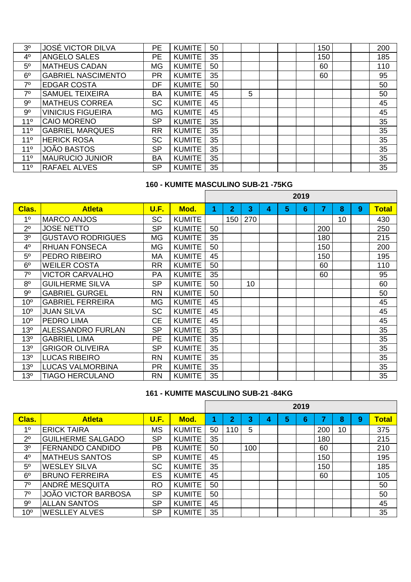| 3 <sup>0</sup>  | <b>JOSÉ VICTOR DILVA</b>  | <b>PE</b> | <b>KUMITE</b> | 50 |   |  | 150 |  | 200 |
|-----------------|---------------------------|-----------|---------------|----|---|--|-----|--|-----|
| 4 <sup>0</sup>  | <b>ANGELO SALES</b>       | <b>PE</b> | <b>KUMITE</b> | 35 |   |  | 150 |  | 185 |
| 5 <sup>o</sup>  | <b>MATHEUS CADAN</b>      | <b>MG</b> | <b>KUMITE</b> | 50 |   |  | 60  |  | 110 |
| 6 <sup>o</sup>  | <b>GABRIEL NASCIMENTO</b> | <b>PR</b> | <b>KUMITE</b> | 35 |   |  | 60  |  | 95  |
| 70              | <b>EDGAR COSTA</b>        | DF        | <b>KUMITE</b> | 50 |   |  |     |  | 50  |
| 7 <sup>0</sup>  | <b>SAMUEL TEIXEIRA</b>    | <b>BA</b> | <b>KUMITE</b> | 45 | 5 |  |     |  | 50  |
| 9 <sup>o</sup>  | <b>MATHEUS CORREA</b>     | <b>SC</b> | <b>KUMITE</b> | 45 |   |  |     |  | 45  |
| 9 <sup>o</sup>  | <b>VINICIUS FIGUEIRA</b>  | <b>MG</b> | <b>KUMITE</b> | 45 |   |  |     |  | 45  |
| 11 <sup>0</sup> | <b>CAIO MORENO</b>        | <b>SP</b> | <b>KUMITE</b> | 35 |   |  |     |  | 35  |
| 11 <sup>°</sup> | <b>GABRIEL MARQUES</b>    | <b>RR</b> | <b>KUMITE</b> | 35 |   |  |     |  | 35  |
| 11 <sup>°</sup> | <b>HERICK ROSA</b>        | <b>SC</b> | <b>KUMITE</b> | 35 |   |  |     |  | 35  |
| 11 <sup>°</sup> | <b>JOÃO BASTOS</b>        | <b>SP</b> | <b>KUMITE</b> | 35 |   |  |     |  | 35  |
| 11 <sup>°</sup> | <b>MAURUCIO JUNIOR</b>    | <b>BA</b> | <b>KUMITE</b> | 35 |   |  |     |  | 35  |
| 11 <sup>°</sup> | <b>RAFAEL ALVES</b>       | <b>SP</b> | <b>KUMITE</b> | 35 |   |  |     |  | 35  |

# **160 - KUMITE MASCULINO SUB-21 -75KG**

|                 |                          |             |               |    |                |     |   |   | 2019 |     |    |   |              |
|-----------------|--------------------------|-------------|---------------|----|----------------|-----|---|---|------|-----|----|---|--------------|
| Clas.           | <b>Atleta</b>            | <b>U.F.</b> | Mod.          | 1  | $\overline{2}$ | 3   | 4 | 5 | 6    | 7   | 8  | 9 | <b>Total</b> |
| 1 <sup>0</sup>  | <b>MARCO ANJOS</b>       | <b>SC</b>   | <b>KUMITE</b> |    | 150            | 270 |   |   |      |     | 10 |   | 430          |
| 2 <sup>0</sup>  | <b>JOSE NETTO</b>        | <b>SP</b>   | <b>KUMITE</b> | 50 |                |     |   |   |      | 200 |    |   | 250          |
| 3 <sup>0</sup>  | <b>GUSTAVO RODRIGUES</b> | <b>MG</b>   | <b>KUMITE</b> | 35 |                |     |   |   |      | 180 |    |   | 215          |
| 4 <sup>0</sup>  | <b>RHUAN FONSECA</b>     | <b>MG</b>   | <b>KUMITE</b> | 50 |                |     |   |   |      | 150 |    |   | 200          |
| $5^{\circ}$     | PEDRO RIBEIRO            | МA          | <b>KUMITE</b> | 45 |                |     |   |   |      | 150 |    |   | 195          |
| 6 <sup>o</sup>  | <b>WEILER COSTA</b>      | <b>RR</b>   | <b>KUMITE</b> | 50 |                |     |   |   |      | 60  |    |   | 110          |
| 7 <sup>0</sup>  | <b>VICTOR CARVALHO</b>   | <b>PA</b>   | <b>KUMITE</b> | 35 |                |     |   |   |      | 60  |    |   | 95           |
| 8 <sup>0</sup>  | <b>GUILHERME SILVA</b>   | <b>SP</b>   | <b>KUMITE</b> | 50 |                | 10  |   |   |      |     |    |   | 60           |
| 9 <sup>o</sup>  | <b>GABRIEL GURGEL</b>    | <b>RN</b>   | <b>KUMITE</b> | 50 |                |     |   |   |      |     |    |   | 50           |
| 10 <sup>o</sup> | <b>GABRIEL FERREIRA</b>  | <b>MG</b>   | <b>KUMITE</b> | 45 |                |     |   |   |      |     |    |   | 45           |
| 10 <sup>o</sup> | <b>JUAN SILVA</b>        | <b>SC</b>   | <b>KUMITE</b> | 45 |                |     |   |   |      |     |    |   | 45           |
| 10 <sup>o</sup> | <b>PEDRO LIMA</b>        | <b>CE</b>   | <b>KUMITE</b> | 45 |                |     |   |   |      |     |    |   | 45           |
| 13 <sup>o</sup> | <b>ALESSANDRO FURLAN</b> | <b>SP</b>   | <b>KUMITE</b> | 35 |                |     |   |   |      |     |    |   | 35           |
| 13 <sup>o</sup> | <b>GABRIEL LIMA</b>      | <b>PE</b>   | <b>KUMITE</b> | 35 |                |     |   |   |      |     |    |   | 35           |
| 13 <sup>°</sup> | <b>GRIGOR OLIVEIRA</b>   | <b>SP</b>   | <b>KUMITE</b> | 35 |                |     |   |   |      |     |    |   | 35           |
| 13 <sup>o</sup> | <b>LUCAS RIBEIRO</b>     | <b>RN</b>   | <b>KUMITE</b> | 35 |                |     |   |   |      |     |    |   | 35           |
| 13 <sup>o</sup> | <b>LUCAS VALMORBINA</b>  | <b>PR</b>   | <b>KUMITE</b> | 35 |                |     |   |   |      |     |    |   | 35           |
| 13 <sup>o</sup> | <b>TIAGO HERCULANO</b>   | <b>RN</b>   | <b>KUMITE</b> | 35 |                |     |   |   |      |     |    |   | 35           |

## **161 - KUMITE MASCULINO SUB-21 -84KG**

|                 |                          |             |               |    |                         |     |   |   | 2019 |     |    |   |              |
|-----------------|--------------------------|-------------|---------------|----|-------------------------|-----|---|---|------|-----|----|---|--------------|
| Clas.           | <b>Atleta</b>            | <b>U.F.</b> | Mod.          |    | $\overline{\mathbf{2}}$ | 3   | 4 | 5 | 6    |     | 8  | 9 | <b>Total</b> |
| 10              | <b>ERICK TAIRA</b>       | <b>MS</b>   | <b>KUMITE</b> | 50 | 110                     | 5   |   |   |      | 200 | 10 |   | 375          |
| $2^{\circ}$     | <b>GUILHERME SALGADO</b> | <b>SP</b>   | <b>KUMITE</b> | 35 |                         |     |   |   |      | 180 |    |   | 215          |
| 3 <sup>0</sup>  | <b>FERNANDO CANDIDO</b>  | <b>PB</b>   | <b>KUMITE</b> | 50 |                         | 100 |   |   |      | 60  |    |   | 210          |
| 4 <sup>0</sup>  | <b>IMATHEUS SANTOS</b>   | <b>SP</b>   | <b>KUMITE</b> | 45 |                         |     |   |   |      | 150 |    |   | 195          |
| 5 <sup>0</sup>  | <b>WESLEY SILVA</b>      | <b>SC</b>   | <b>KUMITE</b> | 35 |                         |     |   |   |      | 150 |    |   | 185          |
| 6 <sup>o</sup>  | <b>BRUNO FERREIRA</b>    | ES          | <b>KUMITE</b> | 45 |                         |     |   |   |      | 60  |    |   | 105          |
| 70              | ANDRÉ MESQUITA           | <b>RO</b>   | <b>KUMITE</b> | 50 |                         |     |   |   |      |     |    |   | 50           |
| 70              | JOÃO VICTOR BARBOSA      | <b>SP</b>   | <b>KUMITE</b> | 50 |                         |     |   |   |      |     |    |   | 50           |
| 9 <sup>o</sup>  | <b>ALLAN SANTOS</b>      | <b>SP</b>   | <b>KUMITE</b> | 45 |                         |     |   |   |      |     |    |   | 45           |
| 10 <sup>o</sup> | <b>WESLLEY ALVES</b>     | <b>SP</b>   | <b>KUMITE</b> | 35 |                         |     |   |   |      |     |    |   | 35           |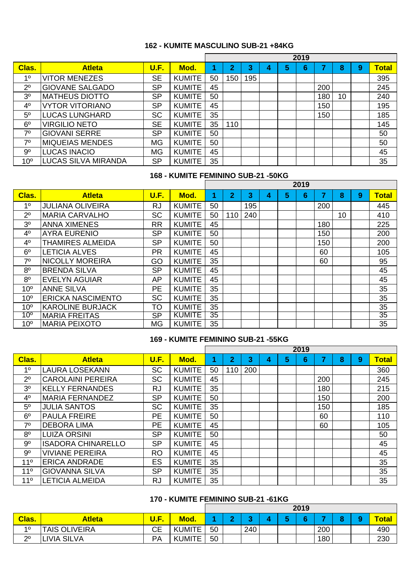### **162 - KUMITE MASCULINO SUB-21 +84KG**

|                 |                            |           |               | 2019 |                         |     |   |   |   |     |    |   |              |
|-----------------|----------------------------|-----------|---------------|------|-------------------------|-----|---|---|---|-----|----|---|--------------|
| Clas.           | <b>Atleta</b>              | U.F.      | Mod.          |      | $\overline{\mathbf{2}}$ | 3   | 4 | 5 | 6 |     | 8  | 9 | <b>Total</b> |
| 10              | <b>VITOR MENEZES</b>       | <b>SE</b> | <b>KUMITE</b> | 50   | 150                     | 195 |   |   |   |     |    |   | 395          |
| 2 <sup>0</sup>  | <b>GIOVANE SALGADO</b>     | <b>SP</b> | <b>KUMITE</b> | 45   |                         |     |   |   |   | 200 |    |   | 245          |
| 3 <sup>0</sup>  | <b>MATHEUS DIOTTO</b>      | <b>SP</b> | <b>KUMITE</b> | 50   |                         |     |   |   |   | 180 | 10 |   | 240          |
| 4 <sup>0</sup>  | <b>VYTOR VITORIANO</b>     | <b>SP</b> | <b>KUMITE</b> | 45   |                         |     |   |   |   | 150 |    |   | 195          |
| 5 <sup>0</sup>  | <b>LUCAS LUNGHARD</b>      | <b>SC</b> | <b>KUMITE</b> | 35   |                         |     |   |   |   | 150 |    |   | 185          |
| 6 <sup>o</sup>  | <b>VIRGILIO NETO</b>       | <b>SE</b> | <b>KUMITE</b> | 35   | 110                     |     |   |   |   |     |    |   | 145          |
| 70              | <b>GIOVANI SERRE</b>       | <b>SP</b> | <b>KUMITE</b> | 50   |                         |     |   |   |   |     |    |   | 50           |
| 70              | <b>MIQUEIAS MENDES</b>     | <b>MG</b> | <b>KUMITE</b> | 50   |                         |     |   |   |   |     |    |   | 50           |
| 9 <sup>o</sup>  | <b>LUCAS INACIO</b>        | <b>MG</b> | <b>KUMITE</b> | 45   |                         |     |   |   |   |     |    |   | 45           |
| 10 <sup>o</sup> | <b>LUCAS SILVA MIRANDA</b> | <b>SP</b> | <b>KUMITE</b> | 35   |                         |     |   |   |   |     |    |   | 35           |

#### **168 - KUMITE FEMININO SUB-21 -50KG**

|                 |                          |           |               | 2019 |                |     |   |   |   |     |    |   |              |
|-----------------|--------------------------|-----------|---------------|------|----------------|-----|---|---|---|-----|----|---|--------------|
| Clas.           | <b>Atleta</b>            | U.F.      | Mod.          | 4    | $\overline{2}$ | 3   | 4 | 5 | 6 | 7   | 8  | 9 | <b>Total</b> |
| 1 <sup>0</sup>  | <b>JULIANA OLIVEIRA</b>  | <b>RJ</b> | <b>KUMITE</b> | 50   |                | 195 |   |   |   | 200 |    |   | 445          |
| $2^{\circ}$     | <b>MARIA CARVALHO</b>    | <b>SC</b> | <b>KUMITE</b> | 50   | 110            | 240 |   |   |   |     | 10 |   | 410          |
| 3 <sup>0</sup>  | <b>ANNA XIMENES</b>      | <b>RR</b> | <b>KUMITE</b> | 45   |                |     |   |   |   | 180 |    |   | 225          |
| 4 <sup>0</sup>  | <b>AYRA EURENIO</b>      | <b>SP</b> | <b>KUMITE</b> | 50   |                |     |   |   |   | 150 |    |   | 200          |
| 4 <sup>0</sup>  | <b>THAMIRES ALMEIDA</b>  | <b>SP</b> | <b>KUMITE</b> | 50   |                |     |   |   |   | 150 |    |   | 200          |
| 6 <sup>o</sup>  | <b>LETICIA ALVES</b>     | <b>PR</b> | <b>KUMITE</b> | 45   |                |     |   |   |   | 60  |    |   | 105          |
| 70              | <b>NICOLLY MOREIRA</b>   | GO        | <b>KUMITE</b> | 35   |                |     |   |   |   | 60  |    |   | 95           |
| 8 <sup>o</sup>  | <b>BRENDA SILVA</b>      | <b>SP</b> | <b>KUMITE</b> | 45   |                |     |   |   |   |     |    |   | 45           |
| 8 <sup>o</sup>  | <b>EVELYN AGUIAR</b>     | AP        | <b>KUMITE</b> | 45   |                |     |   |   |   |     |    |   | 45           |
| 10 <sup>o</sup> | <b>ANNE SILVA</b>        | <b>PE</b> | <b>KUMITE</b> | 35   |                |     |   |   |   |     |    |   | 35           |
| 10 <sup>o</sup> | <b>ERICKA NASCIMENTO</b> | <b>SC</b> | <b>KUMITE</b> | 35   |                |     |   |   |   |     |    |   | 35           |
| 10 <sup>o</sup> | <b>KAROLINE BURJACK</b>  | TO        | <b>KUMITE</b> | 35   |                |     |   |   |   |     |    |   | 35           |
| $10^{\circ}$    | <b>MARIA FREITAS</b>     | <b>SP</b> | <b>KUMITE</b> | 35   |                |     |   |   |   |     |    |   | 35           |
| 10 <sup>o</sup> | <b>MARIA PEIXOTO</b>     | <b>MG</b> | <b>KUMITE</b> | 35   |                |     |   |   |   |     |    |   | 35           |

#### **169 - KUMITE FEMININO SUB-21 -55KG**

|                 |                           |           |               | 2019 |                |     |   |   |   |     |   |   |              |
|-----------------|---------------------------|-----------|---------------|------|----------------|-----|---|---|---|-----|---|---|--------------|
| Clas.           | <b>Atleta</b>             | U.F.      | Mod.          |      | $\overline{2}$ | 3   | 4 | 5 | 6 |     | 8 | 9 | <b>Total</b> |
| 10              | <b>LAURA LOSEKANN</b>     | <b>SC</b> | <b>KUMITE</b> | 50   | 110            | 200 |   |   |   |     |   |   | 360          |
| $2^{\circ}$     | <b>CAROLAINI PEREIRA</b>  | <b>SC</b> | <b>KUMITE</b> | 45   |                |     |   |   |   | 200 |   |   | 245          |
| 3 <sup>0</sup>  | <b>KELLY FERNANDES</b>    | <b>RJ</b> | <b>KUMITE</b> | 35   |                |     |   |   |   | 180 |   |   | 215          |
| 4 <sup>0</sup>  | <b>MARIA FERNANDEZ</b>    | <b>SP</b> | <b>KUMITE</b> | 50   |                |     |   |   |   | 150 |   |   | 200          |
| 5 <sup>0</sup>  | <b>JULIA SANTOS</b>       | SC        | <b>KUMITE</b> | 35   |                |     |   |   |   | 150 |   |   | 185          |
| 6 <sup>o</sup>  | <b>PAULA FREIRE</b>       | PE        | <b>KUMITE</b> | 50   |                |     |   |   |   | 60  |   |   | 110          |
| 7 <sup>0</sup>  | <b>DEBORA LIMA</b>        | PE        | <b>KUMITE</b> | 45   |                |     |   |   |   | 60  |   |   | 105          |
| 8 <sup>o</sup>  | <b>LUIZA ORSINI</b>       | <b>SP</b> | <b>KUMITE</b> | 50   |                |     |   |   |   |     |   |   | 50           |
| 9 <sup>o</sup>  | <b>ISADORA CHINARELLO</b> | <b>SP</b> | <b>KUMITE</b> | 45   |                |     |   |   |   |     |   |   | 45           |
| $9^{\circ}$     | <b>VIVIANE PEREIRA</b>    | <b>RO</b> | <b>KUMITE</b> | 45   |                |     |   |   |   |     |   |   | 45           |
| 11 <sup>°</sup> | <b>ERICA ANDRADE</b>      | <b>ES</b> | <b>KUMITE</b> | 35   |                |     |   |   |   |     |   |   | 35           |
| 11 <sup>°</sup> | <b>GIOVANNA SILVA</b>     | <b>SP</b> | <b>KUMITE</b> | 35   |                |     |   |   |   |     |   |   | 35           |
| $11^{\circ}$    | <b>LETICIA ALMEIDA</b>    | <b>RJ</b> | <b>KUMITE</b> | 35   |                |     |   |   |   |     |   |   | 35           |

# **170 - KUMITE FEMININO SUB-21 -61KG**

|         |                      |    |               | 2019 |  |     |  |  |     |     |  |  |              |
|---------|----------------------|----|---------------|------|--|-----|--|--|-----|-----|--|--|--------------|
| Clas.   | <b>Atleta</b>        |    | <b>Mod.</b>   |      |  |     |  |  | . . |     |  |  | <b>Total</b> |
| 10      | <b>TAIS OLIVEIRA</b> | СE | KUMITE<br>KI  | 50   |  | 240 |  |  |     | 200 |  |  | 490          |
| 20<br>▃ | <b>LIVIA SILVA</b>   | PA | <b>KUMITE</b> | 50   |  |     |  |  |     | 180 |  |  | 230          |